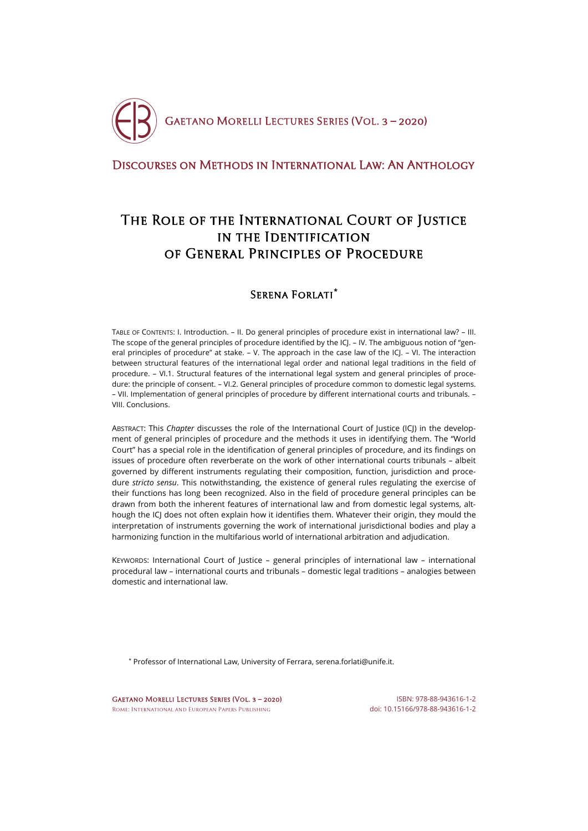

# [Discourses on Methods in International Law: An Anthology](http://crde.unitelmasapienza.it/en/publications/gmls-2020)

# The Role of the International Court of Justice in the Identification of General Principles of Procedure

# Serena Forlati**[\\*](#page-0-0)**

TABLE OF CONTENTS: I. Introduction. – II. Do general principles of procedure exist in international law? – III. The scope of the general principles of procedure identified by the ICJ. – IV. The ambiguous notion of "general principles of procedure" at stake. – V. The approach in the case law of the ICJ. – VI. The interaction between structural features of the international legal order and national legal traditions in the field of procedure. – VI.1. Structural features of the international legal system and general principles of procedure: the principle of consent. – VI.2. General principles of procedure common to domestic legal systems. – VII. Implementation of general principles of procedure by different international courts and tribunals. – VIII. Conclusions.

ABSTRACT: This *Chapter* discusses the role of the International Court of Justice (ICJ) in the development of general principles of procedure and the methods it uses in identifying them. The "World Court" has a special role in the identification of general principles of procedure, and its findings on issues of procedure often reverberate on the work of other international courts tribunals – albeit governed by different instruments regulating their composition, function, jurisdiction and procedure *stricto sensu*. This notwithstanding, the existence of general rules regulating the exercise of their functions has long been recognized. Also in the field of procedure general principles can be drawn from both the inherent features of international law and from domestic legal systems, although the ICJ does not often explain how it identifies them. Whatever their origin, they mould the interpretation of instruments governing the work of international jurisdictional bodies and play a harmonizing function in the multifarious world of international arbitration and adjudication.

KEYWORDS: International Court of Justice – general principles of international law – international procedural law – international courts and tribunals – domestic legal traditions – analogies between domestic and international law.

<span id="page-0-0"></span>\* Professor of International Law, University of Ferrara, serena.forlati@unife.it.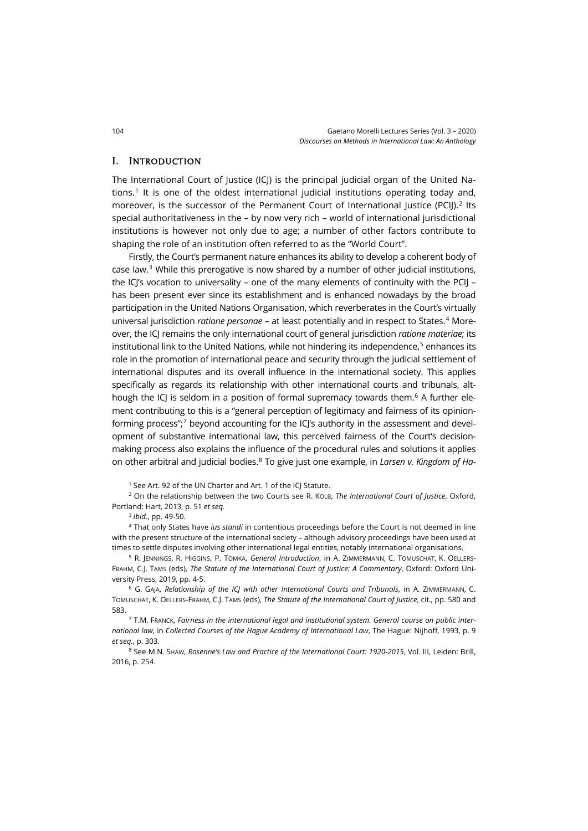#### I. Introduction

The International Court of Justice (ICJ) is the principal judicial organ of the United Na-tions.<sup>[1](#page-1-0)</sup> It is one of the oldest international judicial institutions operating today and, moreover, is the successor of the Permanent Court of International Justice (PCIJ).<sup>[2](#page-1-1)</sup> Its special authoritativeness in the – by now very rich – world of international jurisdictional institutions is however not only due to age; a number of other factors contribute to shaping the role of an institution often referred to as the "World Court".

Firstly, the Court's permanent nature enhances its ability to develop a coherent body of case law. [3](#page-1-2) While this prerogative is now shared by a number of other judicial institutions, the ICJ's vocation to universality - one of the many elements of continuity with the PCIJ has been present ever since its establishment and is enhanced nowadays by the broad participation in the United Nations Organisation, which reverberates in the Court's virtually universal jurisdiction *ratione personae* – at least potentially and in respect to States.[4](#page-1-3) Moreover, the ICJ remains the only international court of general jurisdiction *ratione materiae*; its institutional link to the United Nations, while not hindering its independence, $5$  enhances its role in the promotion of international peace and security through the judicial settlement of international disputes and its overall influence in the international society. This applies specifically as regards its relationship with other international courts and tribunals, although the ICJ is seldom in a position of formal supremacy towards them.<sup>6</sup> A further element contributing to this is a "general perception of legitimacy and fairness of its opinionforming process"; $7$  beyond accounting for the ICI's authority in the assessment and development of substantive international law, this perceived fairness of the Court's decisionmaking process also explains the influence of the procedural rules and solutions it applies on other arbitral and judicial bodies.[8](#page-1-7) To give just one example, in *Larsen v. Kingdom of Ha-*

<sup>1</sup> See Art. 92 of the UN Charter and Art. 1 of the ICJ Statute.

<span id="page-1-1"></span><span id="page-1-0"></span><sup>2</sup> On the relationship between the two Courts see R. KOLB, *The International Court of Justice*, Oxford, Portland: Hart, 2013, p. 51 *et seq.*

<sup>3</sup> *Ibid*., pp. 49-50.

<span id="page-1-3"></span><span id="page-1-2"></span><sup>4</sup> That only States have *ius standi* in contentious proceedings before the Court is not deemed in line with the present structure of the international society – although advisory proceedings have been used at times to settle disputes involving other international legal entities, notably international organisations.

<span id="page-1-4"></span><sup>5</sup> R. JENNINGS, R. HIGGINS, P. TOMKA, *General Introduction*, in A. ZIMMERMANN, C. TOMUSCHAT, K. OELLERS-FRAHM, C.J. TAMS (eds), *The Statute of the International Court of Justice: A Commentary*, Oxford: Oxford University Press, 2019, pp. 4-5.

<span id="page-1-5"></span><sup>6</sup> G. GAJA, *Relationship of the ICJ with other International Courts and Tribunals*, in A. ZIMMERMANN, C. TOMUSCHAT, K. OELLERS-FRAHM, C.J. TAMS (eds), *The Statute of the International Court of Justice*, cit., pp. 580 and 583.

<span id="page-1-6"></span><sup>7</sup> T.M. FRANCK, *Fairness in the international legal and institutional system. General course on public international law*, in *Collected Courses of the Hague Academy of International Law*, The Hague: Nijhoff, 1993, p. 9 *et seq.*, p. 303.

<span id="page-1-7"></span><sup>8</sup> See M.N. SHAW, *Rosenne's Law and Practice of the International Court: 1920-2015*, Vol. III, Leiden: Brill, 2016, p. 254.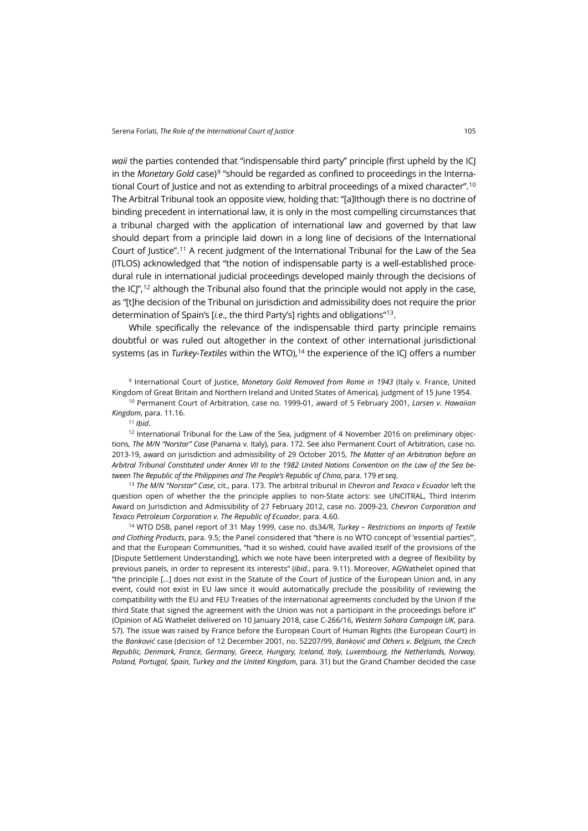*waii* the parties contended that "indispensable third party" principle (first upheld by the ICJ in the *Monetary Gold* case)<sup>[9](#page-2-0)</sup> "should be regarded as confined to proceedings in the International Court of Justice and not as extending to arbitral proceedings of a mixed character".<sup>10</sup> The Arbitral Tribunal took an opposite view, holding that: "[a]lthough there is no doctrine of binding precedent in international law, it is only in the most compelling circumstances that a tribunal charged with the application of international law and governed by that law should depart from a principle laid down in a long line of decisions of the International Court of Justice".[11](#page-2-2) A recent judgment of the International Tribunal for the Law of the Sea (ITLOS) acknowledged that "the notion of indispensable party is a well-established procedural rule in international judicial proceedings developed mainly through the decisions of the  $IC''<sub>1</sub><sup>12</sup>$  $IC''<sub>1</sub><sup>12</sup>$  $IC''<sub>1</sub><sup>12</sup>$  although the Tribunal also found that the principle would not apply in the case, as "[t]he decision of the Tribunal on jurisdiction and admissibility does not require the prior determination of Spain's [*i.e*., the third Party's] rights and obligations"[13.](#page-2-4)

While specifically the relevance of the indispensable third party principle remains doubtful or was ruled out altogether in the context of other international jurisdictional systems (as in *Turkey-Textiles* within the WTO), [14](#page-2-5) the experience of the ICJ offers a number

<span id="page-2-0"></span><sup>9</sup> International Court of Justice, *Monetary Gold Removed from Rome in 1943* (Italy v. France, United Kingdom of Great Britain and Northern Ireland and United States of America), judgment of 15 June 1954.

<span id="page-2-1"></span><sup>10</sup> Permanent Court of Arbitration, case no. 1999-01, award of 5 February 2001, *Larsen v. Hawaiian Kingdom*, para. 11.16.

<sup>11</sup> *Ibid*.

<span id="page-2-3"></span><span id="page-2-2"></span><sup>12</sup> International Tribunal for the Law of the Sea, judgment of 4 November 2016 on preliminary objections, *The M/N "Norstar" Case* (Panama v. Italy), para. 172. See also Permanent Court of Arbitration, case no. 2013-19, award on jurisdiction and admissibility of 29 October 2015, *The Matter of an Arbitration before an Arbitral Tribunal Constituted under Annex VII to the 1982 United Nations Convention on the Law of the Sea between The Republic of the Philippines and The People's Republic of China*, para. 179 *et seq.*

<span id="page-2-4"></span><sup>13</sup> *The M/N "Norstar" Case*, cit., para. 173. The arbitral tribunal in *Chevron and Texaco v Ecuador* left the question open of whether the the principle applies to non-State actors: see UNCITRAL, Third Interim Award on Jurisdiction and Admissibility of 27 February 2012, case no. 2009-23, *Chevron Corporation and Texaco Petroleum Corporation v. The Republic of Ecuador*, para. 4.60.

<span id="page-2-5"></span><sup>14</sup> WTO DSB, panel report of 31 May 1999, case no. ds34/R, *Turkey – Restrictions on Imports of Textile and Clothing Products*, para. 9.5; the Panel considered that "there is no WTO concept of 'essential parties'", and that the European Communities, "had it so wished, could have availed itself of the provisions of the [Dispute Settlement Understanding], which we note have been interpreted with a degree of flexibility by previous panels, in order to represent its interests" (*ibid*., para. 9.11). Moreover, AGWathelet opined that "the principle […] does not exist in the Statute of the Court of Justice of the European Union and, in any event, could not exist in EU law since it would automatically preclude the possibility of reviewing the compatibility with the EU and FEU Treaties of the international agreements concluded by the Union if the third State that signed the agreement with the Union was not a participant in the proceedings before it" (Opinion of AG Wathelet delivered on 10 January 2018, case C-266/16, *Western Sahara Campaign UK*, para. 57). The issue was raised by France before the European Court of Human Rights (the European Court) in the *Banković* case (decision of 12 December 2001, no. 52207/99, *Banković and Others v. Belgium, the Czech Republic, Denmark, France, Germany, Greece, Hungary, Iceland, Italy, Luxembourg, the Netherlands, Norway, Poland, Portugal, Spain, Turkey and the United Kingdom*, para. 31) but the Grand Chamber decided the case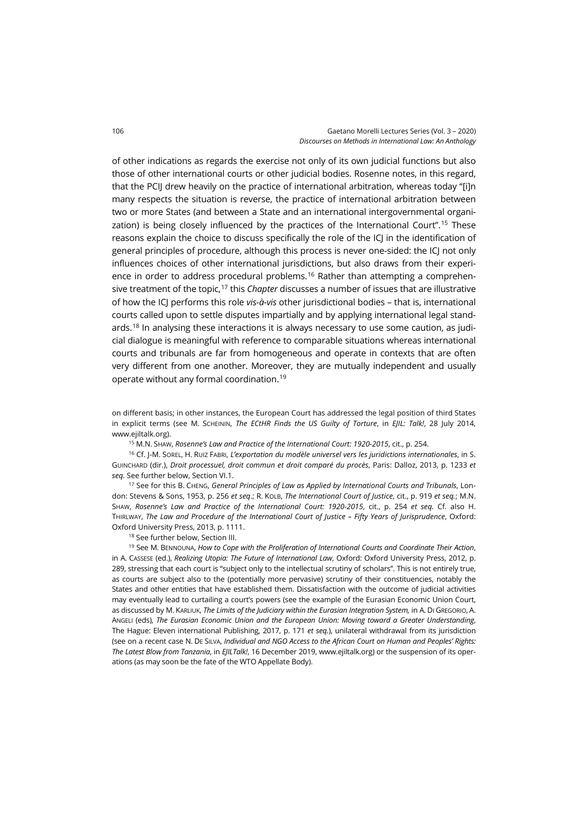of other indications as regards the exercise not only of its own judicial functions but also those of other international courts or other judicial bodies. Rosenne notes, in this regard, that the PCIJ drew heavily on the practice of international arbitration, whereas today "[i]n many respects the situation is reverse, the practice of international arbitration between two or more States (and between a State and an international intergovernmental organi-zation) is being closely influenced by the practices of the International Court".<sup>[15](#page-3-0)</sup> These reasons explain the choice to discuss specifically the role of the ICJ in the identification of general principles of procedure, although this process is never one-sided: the ICJ not only influences choices of other international jurisdictions, but also draws from their experience in order to address procedural problems. [16](#page-3-1) Rather than attempting a comprehensive treatment of the topic,[17](#page-3-2) this *Chapter* discusses a number of issues that are illustrative of how the ICJ performs this role *vis-à-vis* other jurisdictional bodies – that is, international courts called upon to settle disputes impartially and by applying international legal stand-ards.<sup>[18](#page-3-3)</sup> In analysing these interactions it is always necessary to use some caution, as judicial dialogue is meaningful with reference to comparable situations whereas international courts and tribunals are far from homogeneous and operate in contexts that are often very different from one another. Moreover, they are mutually independent and usually operate without any formal coordination.[19](#page-3-4)

on different basis; in other instances, the European Court has addressed the legal position of third States in explicit terms (see M. SCHEININ, *The ECtHR Finds the US Guilty of Torture*, in *EJIL: Talk!*, 28 July 2014, [www.ejiltalk.org\).](https://www.ejiltalk.org/the-ecthr-finds-the-us-guilty-of-torture-as-an-indispensable-third-party/)

<sup>15</sup> M.N. SHAW, *Rosenne's Law and Practice of the International Court: 1920-2015*, cit., p. 254.

<span id="page-3-1"></span><span id="page-3-0"></span><sup>16</sup> Cf. J-M. SOREL, H. RUIZ FABRI, *L'exportation du modèle universel vers les juridictions internationales*, in S. GUINCHARD (dir.), *Droit processuel, droit commun et droit comparé du procès*, Paris: Dalloz, 2013, p. 1233 *et seq.* See further below, Section VI.1.

<span id="page-3-2"></span><sup>17</sup> See for this B. CHENG, *General Principles of Law as Applied by International Courts and Tribunals*, London: Stevens & Sons, 1953, p. 256 *et seq*.; R. KOLB, *The International Court of Justice*, cit., p. 919 *et seq.*; M.N. SHAW, *Rosenne's Law and Practice of the International Court: 1920-2015*, cit., p. 254 *et seq.* Cf. also H. THIRLWAY, *The Law and Procedure of the International Court of Justice – Fifty Years of Jurisprudence*, Oxford: Oxford University Press, 2013, p. 1111.

<sup>18</sup> See further below, Section III.

<span id="page-3-4"></span><span id="page-3-3"></span><sup>19</sup> See M. BENNOUNA, *How to Cope with the Proliferation of International Courts and Coordinate Their Action*, in A. CASSESE (ed.), *Realizing Utopia: The Future of International Law*, Oxford: Oxford University Press, 2012, p. 289, stressing that each court is "subject only to the intellectual scrutiny of scholars". This is not entirely true, as courts are subject also to the (potentially more pervasive) scrutiny of their constituencies, notably the States and other entities that have established them. Dissatisfaction with the outcome of judicial activities may eventually lead to curtailing a court's powers (see the example of the Eurasian Economic Union Court, as discussed by M. KARLIUK, *The Limits of the Judiciary within the Eurasian Integration System,* in A. DI GREGORIO, A. ANGELI (eds), *The Eurasian Economic Union and the European Union: Moving toward a Greater Understanding*, The Hague: Eleven international Publishing, 2017, p. 171 *et seq.*), unilateral withdrawal from its jurisdiction (see on a recent case N. DE SILVA, *Individual and NGO Access to the African Court on Human and Peoples' Rights: The Latest Blow from Tanzania*, in *EJILTalk!*, 16 December 2019[, www.ejiltalk.org\)](https://www.ejiltalk.org/individual-and-ngo-access-to-the-african-court-on-human-and-peoples-rights-the-latest-blow-from-tanzania/) or the suspension of its operations (as may soon be the fate of the WTO Appellate Body).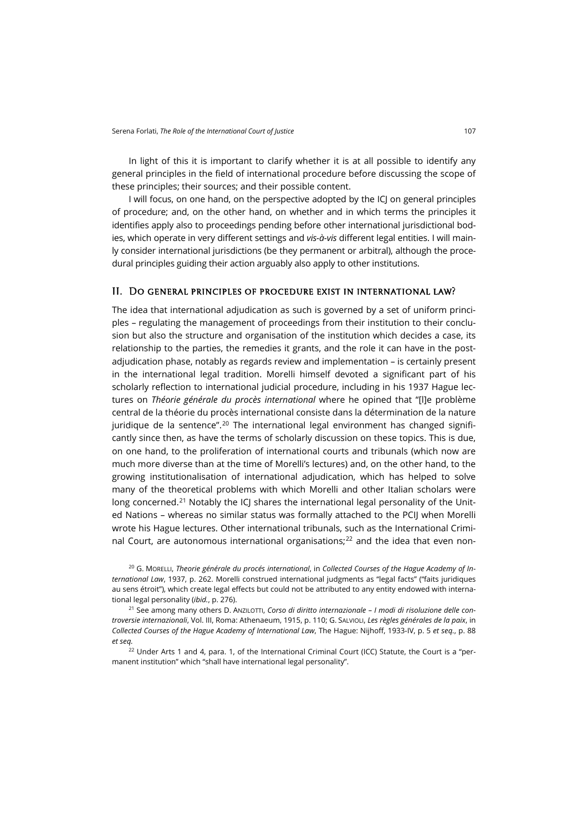In light of this it is important to clarify whether it is at all possible to identify any general principles in the field of international procedure before discussing the scope of these principles; their sources; and their possible content.

I will focus, on one hand, on the perspective adopted by the ICJ on general principles of procedure; and, on the other hand, on whether and in which terms the principles it identifies apply also to proceedings pending before other international jurisdictional bodies, which operate in very different settings and *vis-à-vis* different legal entities. I will mainly consider international jurisdictions (be they permanent or arbitral), although the procedural principles guiding their action arguably also apply to other institutions.

#### II. Do general principles of procedure exist in international law?

The idea that international adjudication as such is governed by a set of uniform principles – regulating the management of proceedings from their institution to their conclusion but also the structure and organisation of the institution which decides a case, its relationship to the parties, the remedies it grants, and the role it can have in the postadjudication phase, notably as regards review and implementation – is certainly present in the international legal tradition. Morelli himself devoted a significant part of his scholarly reflection to international judicial procedure, including in his 1937 Hague lectures on *Théorie générale du procès international* where he opined that "[l]e problème central de la théorie du procès international consiste dans la détermination de la nature juridique de la sentence".<sup>[20](#page-4-0)</sup> The international legal environment has changed significantly since then, as have the terms of scholarly discussion on these topics. This is due, on one hand, to the proliferation of international courts and tribunals (which now are much more diverse than at the time of Morelli's lectures) and, on the other hand, to the growing institutionalisation of international adjudication, which has helped to solve many of the theoretical problems with which Morelli and other Italian scholars were long concerned.<sup>[21](#page-4-1)</sup> Notably the ICJ shares the international legal personality of the United Nations – whereas no similar status was formally attached to the PCIJ when Morelli wrote his Hague lectures. Other international tribunals, such as the International Criminal Court, are autonomous international organisations; $22$  and the idea that even non-

<span id="page-4-0"></span><sup>20</sup> G. MORELLI, *Theorie générale du procés international*, in *Collected Courses of the Hague Academy of International Law*, 1937, p. 262. Morelli construed international judgments as "legal facts" ("faits juridiques au sens étroit"), which create legal effects but could not be attributed to any entity endowed with international legal personality (*ibid.*, p. 276).

<span id="page-4-1"></span><sup>21</sup> See among many others D. ANZILOTTI, *Corso di diritto internazionale – I modi di risoluzione delle controversie internazionali*, Vol. III, Roma: Athenaeum, 1915, p. 110; G. SALVIOLI, *Les règles générales de la paix*, in *Collected Courses of the Hague Academy of International Law*, The Hague: Nijhoff, 1933-IV, p. 5 *et seq.*, p. 88 *et seq.*

<span id="page-4-2"></span> $22$  Under Arts 1 and 4, para. 1, of the International Criminal Court (ICC) Statute, the Court is a "permanent institution" which "shall have international legal personality".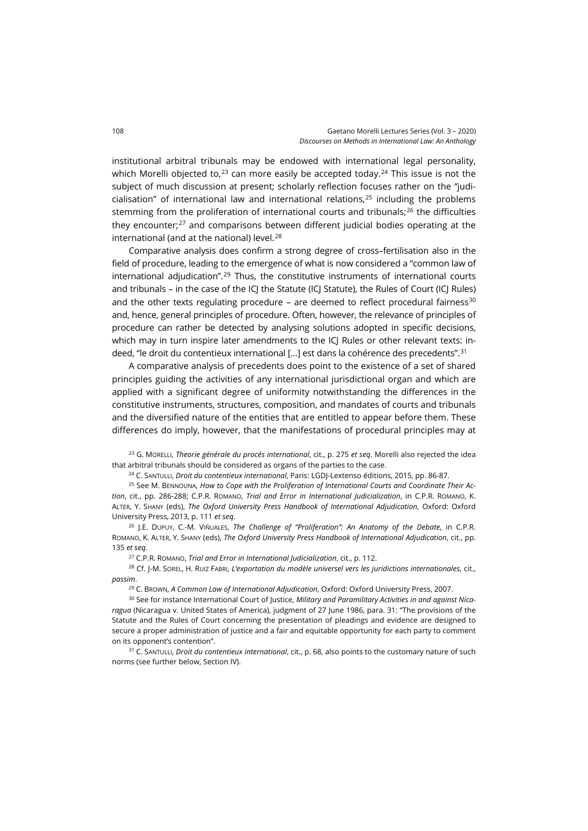institutional arbitral tribunals may be endowed with international legal personality, which Morelli objected to.<sup>[23](#page-5-0)</sup> can more easily be accepted today.<sup>[24](#page-5-1)</sup> This issue is not the subject of much discussion at present; scholarly reflection focuses rather on the "judicialisation" of international law and international relations, $25$  including the problems stemming from the proliferation of international courts and tribunals; $^{26}$  $^{26}$  $^{26}$  the difficulties they encounter; $27$  and comparisons between different judicial bodies operating at the international (and at the national) level.<sup>[28](#page-5-5)</sup>

Comparative analysis does confirm a strong degree of cross–fertilisation also in the field of procedure, leading to the emergence of what is now considered a "common law of international adjudication".[29](#page-5-6) Thus, the constitutive instruments of international courts and tribunals – in the case of the ICJ the Statute (ICJ Statute), the Rules of Court (ICJ Rules) and the other texts regulating procedure – are deemed to reflect procedural fairness $30$ and, hence, general principles of procedure. Often, however, the relevance of principles of procedure can rather be detected by analysing solutions adopted in specific decisions, which may in turn inspire later amendments to the ICJ Rules or other relevant texts: in-deed, "le droit du contentieux international [...] est dans la cohérence des precedents".<sup>[31](#page-5-8)</sup>

A comparative analysis of precedents does point to the existence of a set of shared principles guiding the activities of any international jurisdictional organ and which are applied with a significant degree of uniformity notwithstanding the differences in the constitutive instruments, structures, composition, and mandates of courts and tribunals and the diversified nature of the entities that are entitled to appear before them. These differences do imply, however, that the manifestations of procedural principles may at

<span id="page-5-0"></span><sup>23</sup> G. MORELLI, *Theorie générale du procés international*, cit., p. 275 *et seq*. Morelli also rejected the idea that arbitral tribunals should be considered as organs of the parties to the case.

<sup>24</sup> C. SANTULLI, *Droit du contentieux international*, Paris: LGDJ-Lextenso éditions, 2015, pp. 86-87.

<span id="page-5-2"></span><span id="page-5-1"></span><sup>25</sup> See M. BENNOUNA, *How to Cope with the Proliferation of International Courts and Coordinate Their Action*, cit., pp. 286-288; C.P.R. ROMANO, *Trial and Error in International Judicialization*, in C.P.R. ROMANO, K. ALTER, Y. SHANY (eds), *The Oxford University Press Handbook of International Adjudication*, Oxford: Oxford University Press, 2013, p. 111 *et seq*.

<span id="page-5-3"></span><sup>26</sup> J.E. DUPUY, C.-M. VIÑUALES, *The Challenge of "Proliferation": An Anatomy of the Debate*, in C.P.R. ROMANO, K. ALTER, Y. SHANY (eds), *The Oxford University Press Handbook of International Adjudication*, cit., pp. 135 *et seq.*

<sup>27</sup> C.P.R. ROMANO, *Trial and Error in International Judicialization*, cit., p. 112.

<span id="page-5-5"></span><span id="page-5-4"></span><sup>28</sup> Cf. J-M. SOREL, H. RUIZ FABRI, *L'exportation du modèle universel vers les juridictions internationales*, cit., *passim*.

<sup>29</sup> C. BROWN, *A Common Law of International Adjudication*, Oxford: Oxford University Press, 2007.

<span id="page-5-7"></span><span id="page-5-6"></span><sup>30</sup> See for instance International Court of Justice, *Military and Paramilitary Activities in and against Nicaragua* (Nicaragua v. United States of America), judgment of 27 June 1986, para. 31: "The provisions of the Statute and the Rules of Court concerning the presentation of pleadings and evidence are designed to secure a proper administration of justice and a fair and equitable opportunity for each party to comment on its opponent's contention".

<span id="page-5-8"></span><sup>31</sup> C. SANTULLI, *Droit du contentieux international*, cit., p. 68, also points to the customary nature of such norms (see further below, Section IV).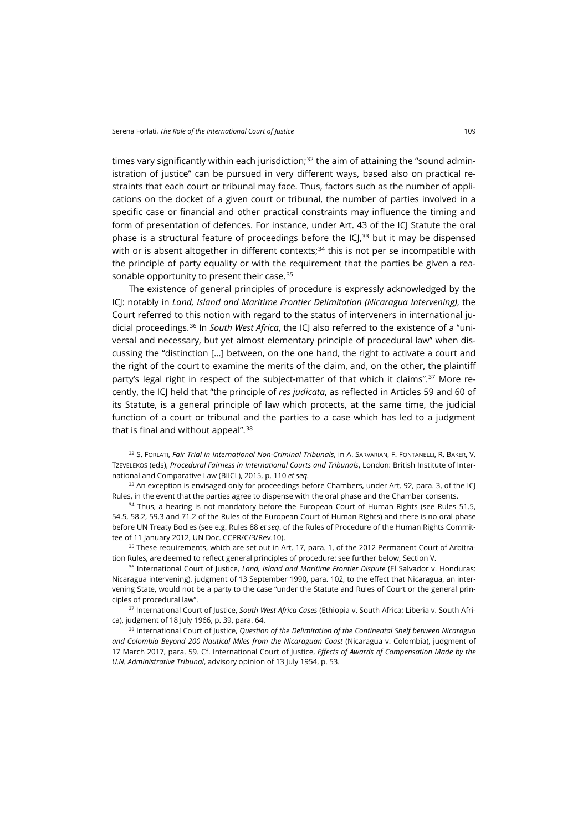times vary significantly within each jurisdiction;<sup>[32](#page-6-0)</sup> the aim of attaining the "sound administration of justice" can be pursued in very different ways, based also on practical restraints that each court or tribunal may face. Thus, factors such as the number of applications on the docket of a given court or tribunal, the number of parties involved in a specific case or financial and other practical constraints may influence the timing and form of presentation of defences. For instance, under Art. 43 of the ICJ Statute the oral phase is a structural feature of proceedings before the  $ICL^{33}$  $ICL^{33}$  $ICL^{33}$  but it may be dispensed with or is absent altogether in different contexts;<sup>[34](#page-6-2)</sup> this is not per se incompatible with the principle of party equality or with the requirement that the parties be given a rea-sonable opportunity to present their case.<sup>[35](#page-6-3)</sup>

The existence of general principles of procedure is expressly acknowledged by the ICJ: notably in *Land, Island and Maritime Frontier Delimitation (Nicaragua Intervening)*, the Court referred to this notion with regard to the status of interveners in international judicial proceedings.[36](#page-6-4) In *South West Africa*, the ICJ also referred to the existence of a "universal and necessary, but yet almost elementary principle of procedural law" when discussing the "distinction […] between, on the one hand, the right to activate a court and the right of the court to examine the merits of the claim, and, on the other, the plaintiff party's legal right in respect of the subject-matter of that which it claims".<sup>[37](#page-6-5)</sup> More recently, the ICJ held that "the principle of *res judicata*, as reflected in Articles 59 and 60 of its Statute, is a general principle of law which protects, at the same time, the judicial function of a court or tribunal and the parties to a case which has led to a judgment that is final and without appeal". $38$ 

<span id="page-6-0"></span>32 S. FORLATI, *Fair Trial in International Non-Criminal Tribunals*, in A. SARVARIAN, F. FONTANELLI, R. BAKER, V. TZEVELEKOS (eds), *Procedural Fairness in International Courts and Tribunals*, London: British Institute of International and Comparative Law (BIICL), 2015, p. 110 *et seq.*

<span id="page-6-1"></span><sup>33</sup> An exception is envisaged only for proceedings before Chambers, under Art. 92, para. 3, of the ICJ Rules, in the event that the parties agree to dispense with the oral phase and the Chamber consents.

<span id="page-6-2"></span> $34$  Thus, a hearing is not mandatory before the European Court of Human Rights (see Rules 51.5, 54.5, 58.2, 59.3 and 71.2 of the Rules of the European Court of Human Rights) and there is no oral phase before UN Treaty Bodies (see e.g. Rules 88 *et seq*. of the Rules of Procedure of the Human Rights Committee of 11 January 2012, UN Doc. CCPR/C/3/Rev.10).

<span id="page-6-3"></span><sup>35</sup> These requirements, which are set out in Art. 17, para. 1, of the 2012 Permanent Court of Arbitration Rules, are deemed to reflect general principles of procedure: see further below, Section V.

<span id="page-6-4"></span><sup>36</sup> International Court of Justice, *Land, Island and Maritime Frontier Dispute* (El Salvador v. Honduras: Nicaragua intervening), judgment of 13 September 1990, para. 102, to the effect that Nicaragua, an intervening State, would not be a party to the case "under the Statute and Rules of Court or the general principles of procedural law".

<span id="page-6-5"></span><sup>37</sup> International Court of Justice, *South West Africa Cases* (Ethiopia v. South Africa; Liberia v. South Africa), judgment of 18 July 1966, p. 39, para. 64.

<span id="page-6-6"></span><sup>38</sup> International Court of Justice, *Question of the Delimitation of the Continental Shelf between Nicaragua and Colombia Beyond 200 Nautical Miles from the Nicaraguan Coast* (Nicaragua v. Colombia), judgment of 17 March 2017, para. 59. Cf. International Court of Justice, *Effects of Awards of Compensation Made by the U.N. Administrative Tribunal*, advisory opinion of 13 July 1954, p. 53.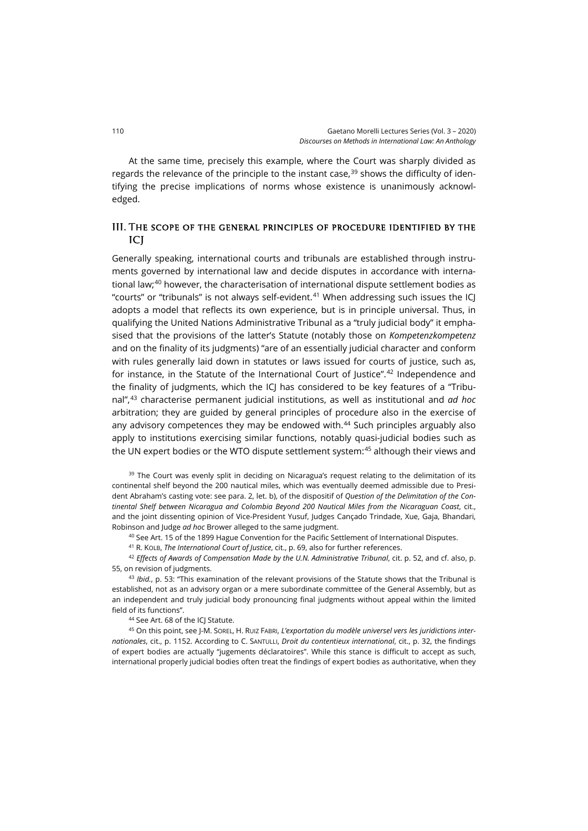At the same time, precisely this example, where the Court was sharply divided as regards the relevance of the principle to the instant case.<sup>[39](#page-7-0)</sup> shows the difficulty of identifying the precise implications of norms whose existence is unanimously acknowledged.

### III. The scope of the general principles of procedure identified by the ICJ

Generally speaking, international courts and tribunals are established through instruments governed by international law and decide disputes in accordance with international law;[40](#page-7-1) however, the characterisation of international dispute settlement bodies as "courts" or "tribunals" is not always self-evident.<sup>[41](#page-7-2)</sup> When addressing such issues the IC adopts a model that reflects its own experience, but is in principle universal. Thus, in qualifying the United Nations Administrative Tribunal as a "truly judicial body" it emphasised that the provisions of the latter's Statute (notably those on *Kompetenzkompetenz* and on the finality of its judgments) "are of an essentially judicial character and conform with rules generally laid down in statutes or laws issued for courts of justice, such as, for instance, in the Statute of the International Court of Justice".[42](#page-7-3) Independence and the finality of judgments, which the ICI has considered to be key features of a "Tribunal",[43](#page-7-4) characterise permanent judicial institutions, as well as institutional and *ad hoc*  arbitration; they are guided by general principles of procedure also in the exercise of any advisory competences they may be endowed with.<sup>44</sup> Such principles arguably also apply to institutions exercising similar functions, notably quasi-judicial bodies such as the UN expert bodies or the WTO dispute settlement system:[45](#page-7-6) although their views and

<span id="page-7-0"></span><sup>39</sup> The Court was evenly split in deciding on Nicaragua's request relating to the delimitation of its continental shelf beyond the 200 nautical miles, which was eventually deemed admissible due to President Abraham's casting vote: see para. 2, let. b), of the dispositif of *Question of the Delimitation of the Continental Shelf between Nicaragua and Colombia Beyond 200 Nautical Miles from the Nicaraguan Coast*, cit., and the joint dissenting opinion of Vice-President Yusuf, Judges Cançado Trindade, Xue, Gaja, Bhandari, Robinson and Judge *ad hoc* Brower alleged to the same judgment.

<sup>40</sup> See Art. 15 of the 1899 Hague Convention for the Pacific Settlement of International Disputes.

<sup>41</sup> R. KOLB, *The International Court of Justice*, cit., p. 69, also for further references.

<span id="page-7-3"></span><span id="page-7-2"></span><span id="page-7-1"></span><sup>42</sup> *Effects of Awards of Compensation Made by the U.N. Administrative Tribunal*, cit. p. 52, and cf. also, p. 55, on revision of judgments.

<span id="page-7-4"></span><sup>43</sup> *Ibid.*, p. 53: "This examination of the relevant provisions of the Statute shows that the Tribunal is established, not as an advisory organ or a mere subordinate committee of the General Assembly, but as an independent and truly judicial body pronouncing final judgments without appeal within the limited field of its functions".

<sup>44</sup> See Art. 68 of the ICJ Statute.

<span id="page-7-6"></span><span id="page-7-5"></span><sup>45</sup> On this point, see J-M. SOREL, H. RUIZ FABRI, *L'exportation du modèle universel vers les juridictions internationales*, cit., p. 1152. According to C. SANTULLI, *Droit du contentieux international*, cit., p. 32, the findings of expert bodies are actually "jugements déclaratoires". While this stance is difficult to accept as such, international properly judicial bodies often treat the findings of expert bodies as authoritative, when they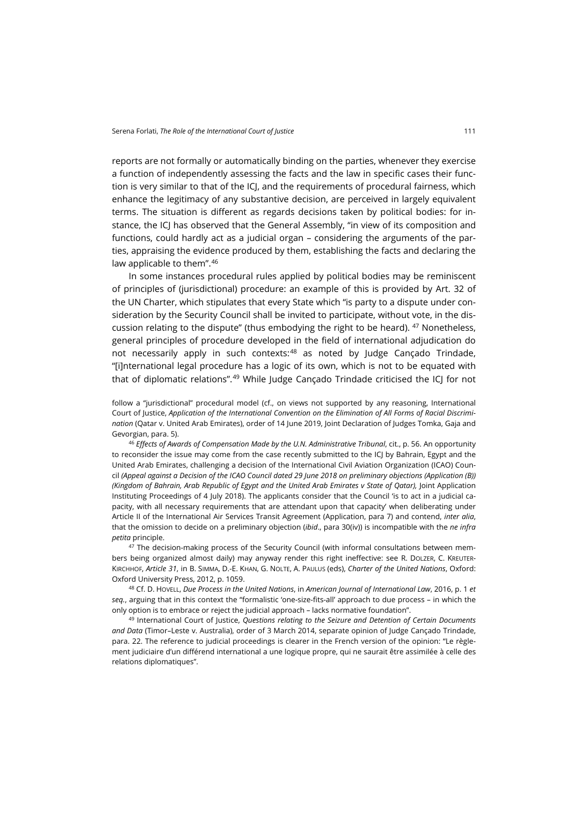reports are not formally or automatically binding on the parties, whenever they exercise a function of independently assessing the facts and the law in specific cases their function is very similar to that of the ICJ, and the requirements of procedural fairness, which enhance the legitimacy of any substantive decision, are perceived in largely equivalent terms. The situation is different as regards decisions taken by political bodies: for instance, the ICJ has observed that the General Assembly, "in view of its composition and functions, could hardly act as a judicial organ – considering the arguments of the parties, appraising the evidence produced by them, establishing the facts and declaring the law applicable to them".<sup>[46](#page-8-0)</sup>

In some instances procedural rules applied by political bodies may be reminiscent of principles of (jurisdictional) procedure: an example of this is provided by Art. 32 of the UN Charter, which stipulates that every State which "is party to a dispute under consideration by the Security Council shall be invited to participate, without vote, in the dis-cussion relating to the dispute" (thus embodying the right to be heard). <sup>[47](#page-8-1)</sup> Nonetheless, general principles of procedure developed in the field of international adjudication do not necessarily apply in such contexts:<sup>[48](#page-8-2)</sup> as noted by Judge Cançado Trindade, "[i]nternational legal procedure has a logic of its own, which is not to be equated with that of diplomatic relations".<sup>[49](#page-8-3)</sup> While Judge Cançado Trindade criticised the ICJ for not

follow a "jurisdictional" procedural model (cf., on views not supported by any reasoning, International Court of Justice, *Application of the International Convention on the Elimination of All Forms of Racial Discrimination* (Qatar v. United Arab Emirates), order of 14 June 2019, Joint Declaration of Judges Tomka, Gaja and Gevorgian, para. 5).

<span id="page-8-0"></span><sup>46</sup> *Effects of Awards of Compensation Made by the U.N. Administrative Tribunal*, cit., p. 56. An opportunity to reconsider the issue may come from the case recently submitted to the ICJ by Bahrain, Egypt and the United Arab Emirates, challenging a decision of the International Civil Aviation Organization (ICAO) Council *(Appeal against a Decision of the ICAO Council dated 29 June 2018 on preliminary objections (Application (B)) (Kingdom of Bahrain, Arab Republic of Egypt and the United Arab Emirates v State of Qatar), <i>Joint Application* Instituting Proceedings of 4 July 2018). The applicants consider that the Council 'is to act in a judicial capacity, with all necessary requirements that are attendant upon that capacity' when deliberating under Article II of the International Air Services Transit Agreement (Application, para 7) and contend, *inter alia*, that the omission to decide on a preliminary objection (*ibid*., para 30(iv)) is incompatible with the *ne infra petita* principle.

<span id="page-8-1"></span><sup>47</sup> The decision-making process of the Security Council (with informal consultations between members being organized almost daily) may anyway render this right ineffective: see R. DOLZER, C. KREUTER-KIRCHHOF, *Article 31*, in B. SIMMA, D.-E. KHAN, G. NOLTE, A. PAULUS (eds), *Charter of the United Nations*, Oxford: Oxford University Press, 2012, p. 1059.

<span id="page-8-2"></span><sup>48</sup> Cf. D. HOVELL, *Due Process in the United Nations*, in *American Journal of International Law*, 2016, p. 1 *et seq.*, arguing that in this context the "formalistic 'one-size-fits-all' approach to due process – in which the only option is to embrace or reject the judicial approach – lacks normative foundation".

<span id="page-8-3"></span><sup>49</sup> International Court of Justice, *Questions relating to the Seizure and Detention of Certain Documents and Data* (Timor–Leste v. Australia), order of 3 March 2014, separate opinion of Judge Cançado Trindade, para. 22. The reference to judicial proceedings is clearer in the French version of the opinion: "Le règlement judiciaire d'un différend international a une logique propre, qui ne saurait être assimilée à celle des relations diplomatiques".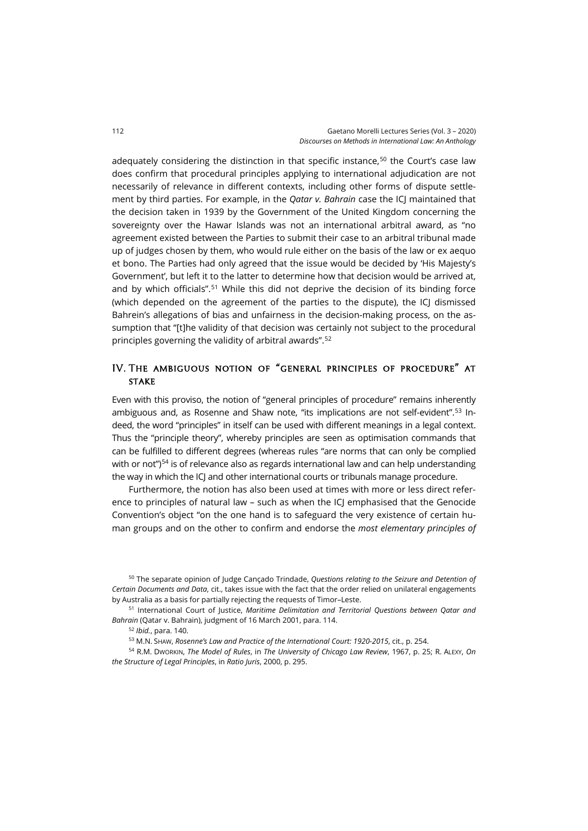adequately considering the distinction in that specific instance, $50$  the Court's case law does confirm that procedural principles applying to international adjudication are not necessarily of relevance in different contexts, including other forms of dispute settlement by third parties. For example, in the *Qatar v. Bahrain* case the ICJ maintained that the decision taken in 1939 by the Government of the United Kingdom concerning the sovereignty over the Hawar Islands was not an international arbitral award, as "no agreement existed between the Parties to submit their case to an arbitral tribunal made up of judges chosen by them, who would rule either on the basis of the law or ex aequo et bono. The Parties had only agreed that the issue would be decided by 'His Majesty's Government', but left it to the latter to determine how that decision would be arrived at, and by which officials".[51](#page-9-1) While this did not deprive the decision of its binding force (which depended on the agreement of the parties to the dispute), the ICJ dismissed Bahrein's allegations of bias and unfairness in the decision-making process, on the assumption that "[t]he validity of that decision was certainly not subject to the procedural principles governing the validity of arbitral awards". [52](#page-9-2)

## IV. The ambiguous notion of "general principles of procedure" at **STAKE**

Even with this proviso, the notion of "general principles of procedure" remains inherently ambiguous and, as Rosenne and Shaw note, "its implications are not self-evident".[53](#page-9-3) Indeed, the word "principles" in itself can be used with different meanings in a legal context. Thus the "principle theory", whereby principles are seen as optimisation commands that can be fulfilled to different degrees (whereas rules "are norms that can only be complied with or not")<sup>[54](#page-9-4)</sup> is of relevance also as regards international law and can help understanding the way in which the ICJ and other international courts or tribunals manage procedure.

Furthermore, the notion has also been used at times with more or less direct reference to principles of natural law - such as when the ICJ emphasised that the Genocide Convention's object "on the one hand is to safeguard the very existence of certain human groups and on the other to confirm and endorse the *most elementary principles of* 

<span id="page-9-0"></span><sup>50</sup> The separate opinion of Judge Cançado Trindade, *Questions relating to the Seizure and Detention of Certain Documents and Data*, cit., takes issue with the fact that the order relied on unilateral engagements by Australia as a basis for partially rejecting the requests of Timor–Leste.

<span id="page-9-2"></span><span id="page-9-1"></span><sup>51</sup> International Court of Justice, *Maritime Delimitation and Territorial Questions between Qatar and Bahrain* (Qatar v. Bahrain), judgment of 16 March 2001, para. 114.

<sup>52</sup> *Ibid.*, para. 140.

<sup>53</sup> M.N. SHAW, *Rosenne's Law and Practice of the International Court: 1920-2015*, cit., p. 254.

<span id="page-9-4"></span><span id="page-9-3"></span><sup>54</sup> R.M. DWORKIN, *The Model of Rules*, in *The University of Chicago Law Review*, 1967, p. 25; R. ALEXY, *On the Structure of Legal Principles*, in *Ratio Juris*, 2000, p. 295.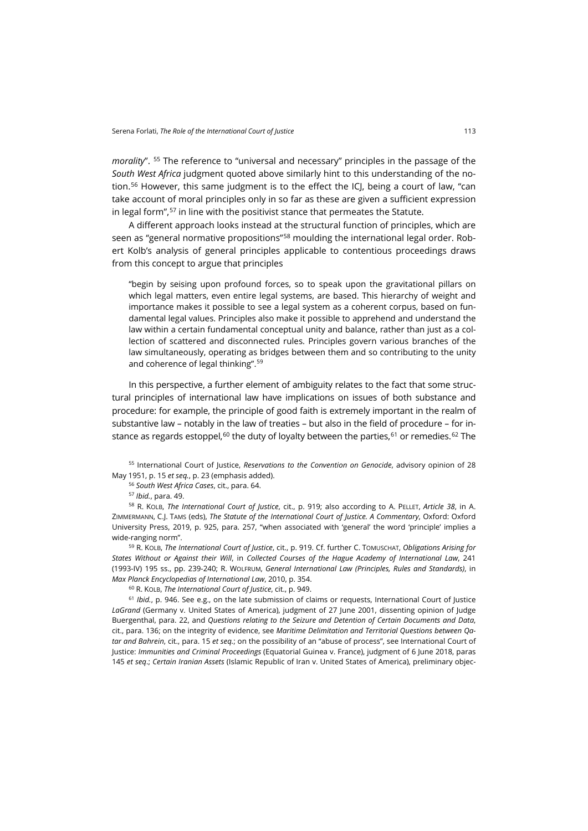*morality*". [55](#page-10-0) The reference to "universal and necessary" principles in the passage of the *South West Africa* judgment quoted above similarly hint to this understanding of the no-tion.<sup>[56](#page-10-1)</sup> However, this same judgment is to the effect the ICJ, being a court of law, "can take account of moral principles only in so far as these are given a sufficient expression in legal form",<sup>[57](#page-10-2)</sup> in line with the positivist stance that permeates the Statute.

A different approach looks instead at the structural function of principles, which are seen as "general normative propositions"<sup>[58](#page-10-3)</sup> moulding the international legal order. Robert Kolb's analysis of general principles applicable to contentious proceedings draws from this concept to argue that principles

"begin by seising upon profound forces, so to speak upon the gravitational pillars on which legal matters, even entire legal systems, are based. This hierarchy of weight and importance makes it possible to see a legal system as a coherent corpus, based on fundamental legal values. Principles also make it possible to apprehend and understand the law within a certain fundamental conceptual unity and balance, rather than just as a collection of scattered and disconnected rules. Principles govern various branches of the law simultaneously, operating as bridges between them and so contributing to the unity and coherence of legal thinking".[59](#page-10-4)

In this perspective, a further element of ambiguity relates to the fact that some structural principles of international law have implications on issues of both substance and procedure: for example, the principle of good faith is extremely important in the realm of substantive law – notably in the law of treaties – but also in the field of procedure – for in-stance as regards estoppel,<sup>[60](#page-10-5)</sup> the duty of loyalty between the parties,<sup>[61](#page-10-6)</sup> or remedies.<sup>[62](#page-10-7)</sup> The

<span id="page-10-1"></span><span id="page-10-0"></span><sup>55</sup> International Court of Justice, *Reservations to the Convention on Genocide*, advisory opinion of 28 May 1951, p. 15 *et seq.*, p. 23 (emphasis added).

<sup>56</sup> *South West Africa Cases*, cit., para. 64.

<sup>57</sup> *Ibid.*, para. 49.

<span id="page-10-7"></span><span id="page-10-3"></span><span id="page-10-2"></span><sup>58</sup> R. KOLB, *The International Court of Justice*, cit., p. 919; also according to A. PELLET, *Article 38*, in A. ZIMMERMANN, C.J. TAMS (eds), *The Statute of the International Court of Justice. A Commentary*, Oxford: Oxford University Press, 2019, p. 925, para. 257, "when associated with 'general' the word 'principle' implies a wide-ranging norm".

<span id="page-10-4"></span><sup>59</sup> R. KOLB, *The International Court of Justice*, cit., p. 919. Cf. further C. TOMUSCHAT, *Obligations Arising for States Without or Against their Will*, in *Collected Courses of the Hague Academy of International Law*, 241 (1993-IV) 195 ss., pp. 239-240; R. WOLFRUM, *General International Law (Principles, Rules and Standards)*, in *Max Planck Encyclopedias of International Law*, 2010, p. 354.

<sup>60</sup> R. KOLB, *The International Court of Justice*, cit., p. 949.

<span id="page-10-6"></span><span id="page-10-5"></span><sup>61</sup> *Ibid.*, p. 946. See e.g., on the late submission of claims or requests, International Court of Justice LaGrand (Germany v. United States of America), judgment of 27 June 2001, dissenting opinion of Judge Buergenthal, para. 22, and *Questions relating to the Seizure and Detention of Certain Documents and Data*, cit., para. 136; on the integrity of evidence, see *Maritime Delimitation and Territorial Questions between Qatar and Bahrein*, cit., para. 15 *et seq.*; on the possibility of an "abuse of process", see International Court of Justice: *Immunities and Criminal Proceedings* (Equatorial Guinea v. France), judgment of 6 June 2018, paras 145 *et seq*.; *Certain Iranian Assets* (Islamic Republic of Iran v. United States of America), preliminary objec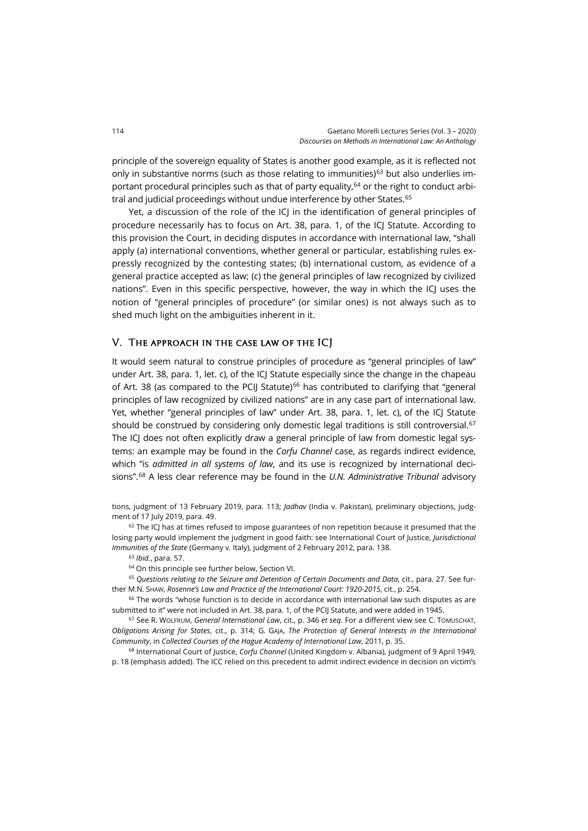principle of the sovereign equality of States is another good example, as it is reflected not only in substantive norms (such as those relating to immunities) $63$  but also underlies im-portant procedural principles such as that of party equality,<sup>[64](#page-11-1)</sup> or the right to conduct arbi-tral and judicial proceedings without undue interference by other States.<sup>[65](#page-11-2)</sup>

Yet, a discussion of the role of the ICI in the identification of general principles of procedure necessarily has to focus on Art. 38, para. 1, of the ICJ Statute. According to this provision the Court, in deciding disputes in accordance with international law, "shall apply (a) international conventions, whether general or particular, establishing rules expressly recognized by the contesting states; (b) international custom, as evidence of a general practice accepted as law; (c) the general principles of law recognized by civilized nations". Even in this specific perspective, however, the way in which the ICJ uses the notion of "general principles of procedure" (or similar ones) is not always such as to shed much light on the ambiguities inherent in it.

#### V. The approach in the case law of the ICJ

It would seem natural to construe principles of procedure as "general principles of law" under Art. 38, para. 1, let. c), of the ICJ Statute especially since the change in the chapeau of Art. 38 (as compared to the PCIJ Statute) $66$  has contributed to clarifying that "general principles of law recognized by civilized nations" are in any case part of international law. Yet, whether "general principles of law" under Art. 38, para. 1, let. c), of the ICJ Statute should be construed by considering only domestic legal traditions is still controversial.<sup>[67](#page-11-4)</sup> The ICJ does not often explicitly draw a general principle of law from domestic legal systems: an example may be found in the *Corfu Channel* case, as regards indirect evidence, which "is *admitted in all systems of law*, and its use is recognized by international decisions".[68](#page-11-5) A less clear reference may be found in the *U.N. Administrative Tribunal* advisory

tions, judgment of 13 February 2019, para. 113; *Jadhav* (India v. Pakistan), preliminary objections, judgment of 17 July 2019, para. 49.

 $62$  The ICJ has at times refused to impose guarantees of non repetition because it presumed that the losing party would implement the judgment in good faith: see International Court of Justice, *Jurisdictional Immunities of the State* (Germany v. Italy), judgment of 2 February 2012, para. 138.

<sup>63</sup> *Ibid.*, para. 57.

<sup>64</sup> On this principle see further below, Section VI.

<span id="page-11-2"></span><span id="page-11-1"></span><span id="page-11-0"></span><sup>65</sup> *Questions relating to the Seizure and Detention of Certain Documents and Data*, cit., para. 27. See further M.N. SHAW, *Rosenne's Law and Practice of the International Court: 1920-2015*, cit., p. 254.

<span id="page-11-3"></span><sup>66</sup> The words "whose function is to decide in accordance with international law such disputes as are submitted to it" were not included in Art. 38, para. 1, of the PCIJ Statute, and were added in 1945.

<span id="page-11-4"></span><sup>67</sup> See R. WOLFRUM, *General International Law*, cit., p. 346 *et seq*. For a different view see C. TOMUSCHAT, *Obligations Arising for States*, cit., p. 314; G. GAJA, *The Protection of General Interests in the International Community*, in *Collected Courses of the Hague Academy of International Law*, 2011, p. 35.

<span id="page-11-5"></span><sup>68</sup> International Court of Justice, *Corfu Channel* (United Kingdom v. Albania), judgment of 9 April 1949, p. 18 (emphasis added). The ICC relied on this precedent to admit indirect evidence in decision on victim's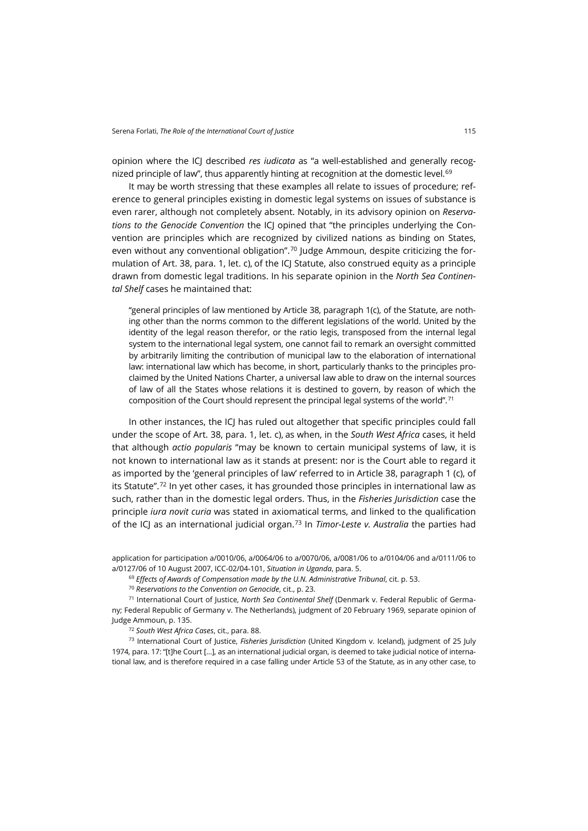opinion where the ICJ described *res iudicata* as "a well-established and generally recog-nized principle of law", thus apparently hinting at recognition at the domestic level.<sup>[69](#page-12-0)</sup>

It may be worth stressing that these examples all relate to issues of procedure; reference to general principles existing in domestic legal systems on issues of substance is even rarer, although not completely absent. Notably, in its advisory opinion on *Reservations to the Genocide Convention* the ICJ opined that "the principles underlying the Convention are principles which are recognized by civilized nations as binding on States, even without any conventional obligation".<sup>[70](#page-12-1)</sup> Judge Ammoun, despite criticizing the formulation of Art. 38, para. 1, let. c), of the ICJ Statute, also construed equity as a principle drawn from domestic legal traditions. In his separate opinion in the *North Sea Continental Shelf* cases he maintained that:

"general principles of law mentioned by Article 38, paragraph 1(c), of the Statute, are nothing other than the norms common to the different legislations of the world. United by the identity of the legal reason therefor, or the ratio legis, transposed from the internal legal system to the international legal system, one cannot fail to remark an oversight committed by arbitrarily limiting the contribution of municipal law to the elaboration of international law: international law which has become, in short, particularly thanks to the principles proclaimed by the United Nations Charter, a universal law able to draw on the internal sources of law of all the States whose relations it is destined to govern, by reason of which the composition of the Court should represent the principal legal systems of the world".[71](#page-12-2)

In other instances, the ICJ has ruled out altogether that specific principles could fall under the scope of Art. 38, para. 1, let. c), as when, in the *South West Africa* cases, it held that although *actio popularis* "may be known to certain municipal systems of law, it is not known to international law as it stands at present: nor is the Court able to regard it as imported by the 'general principles of law' referred to in Article 38, paragraph 1 (c), of its Statute".<sup>[72](#page-12-3)</sup> In yet other cases, it has grounded those principles in international law as such, rather than in the domestic legal orders. Thus, in the *Fisheries Jurisdiction* case the principle *iura novit curia* was stated in axiomatical terms, and linked to the qualification of the ICJ as an international judicial organ.[73](#page-12-4) In *Timor-Leste v. Australia* the parties had

<sup>72</sup> *South West Africa Cases*, cit., para. 88.

<span id="page-12-4"></span><span id="page-12-3"></span><sup>73</sup> International Court of Justice, *Fisheries Jurisdiction* (United Kingdom v. Iceland), judgment of 25 July 1974, para. 17: "[t]he Court […], as an international judicial organ, is deemed to take judicial notice of international law, and is therefore required in a case falling under Article 53 of the Statute, as in any other case, to

application for participation a/0010/06, a/0064/06 to a/0070/06, a/0081/06 to a/0104/06 and a/0111/06 to a/0127/06 of 10 August 2007, ICC-02/04-101, *Situation in Uganda*, para. 5.

<sup>69</sup> *Effects of Awards of Compensation made by the U.N. Administrative Tribunal*, cit. p. 53.

<sup>70</sup> *Reservations to the Convention on Genocide*, cit., p. 23.

<span id="page-12-2"></span><span id="page-12-1"></span><span id="page-12-0"></span><sup>71</sup> International Court of Justice, *North Sea Continental Shelf* (Denmark v. Federal Republic of Germany; Federal Republic of Germany v. The Netherlands), judgment of 20 February 1969, separate opinion of Judge Ammoun, p. 135.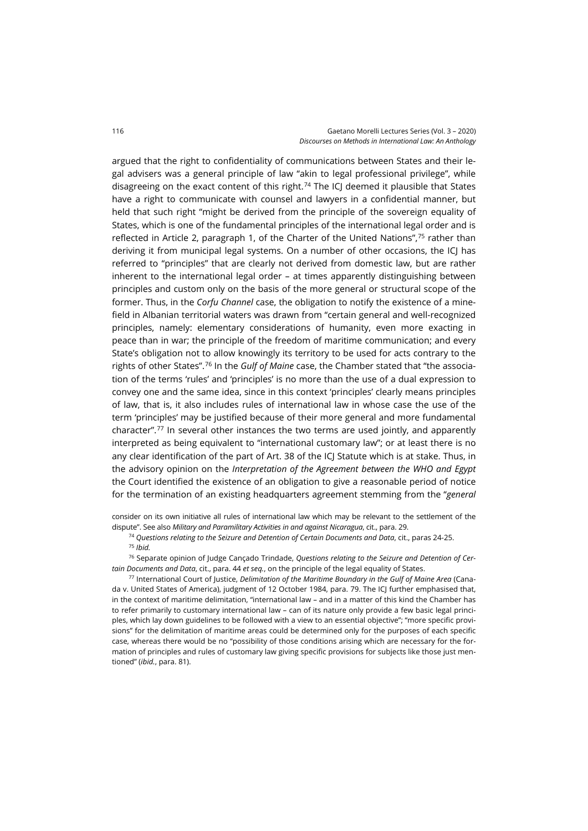argued that the right to confidentiality of communications between States and their legal advisers was a general principle of law "akin to legal professional privilege", while disagreeing on the exact content of this right.<sup>[74](#page-13-0)</sup> The ICJ deemed it plausible that States have a right to communicate with counsel and lawyers in a confidential manner, but held that such right "might be derived from the principle of the sovereign equality of States, which is one of the fundamental principles of the international legal order and is reflected in Article 2, paragraph 1, of the Charter of the United Nations", $75$  rather than deriving it from municipal legal systems. On a number of other occasions, the ICJ has referred to "principles" that are clearly not derived from domestic law, but are rather inherent to the international legal order – at times apparently distinguishing between principles and custom only on the basis of the more general or structural scope of the former. Thus, in the *Corfu Channel* case, the obligation to notify the existence of a minefield in Albanian territorial waters was drawn from "certain general and well-recognized principles, namely: elementary considerations of humanity, even more exacting in peace than in war; the principle of the freedom of maritime communication; and every State's obligation not to allow knowingly its territory to be used for acts contrary to the rights of other States".[76](#page-13-2) In the *Gulf of Maine* case, the Chamber stated that "the association of the terms 'rules' and 'principles' is no more than the use of a dual expression to convey one and the same idea, since in this context 'principles' clearly means principles of law, that is, it also includes rules of international law in whose case the use of the term 'principles' may be justified because of their more general and more fundamental character".[77](#page-13-3) In several other instances the two terms are used jointly, and apparently interpreted as being equivalent to "international customary law"; or at least there is no any clear identification of the part of Art. 38 of the ICJ Statute which is at stake. Thus, in the advisory opinion on the *Interpretation of the Agreement between the WHO and Egypt* the Court identified the existence of an obligation to give a reasonable period of notice for the termination of an existing headquarters agreement stemming from the "*general* 

<span id="page-13-0"></span>consider on its own initiative all rules of international law which may be relevant to the settlement of the dispute". See also *Military and Paramilitary Activities in and against Nicaragua*, cit., para. 29.

<sup>74</sup> *Questions relating to the Seizure and Detention of Certain Documents and Data*, cit., paras 24-25. <sup>75</sup> *Ibid.*

<span id="page-13-2"></span><span id="page-13-1"></span><sup>76</sup> Separate opinion of Judge Cançado Trindade, *Questions relating to the Seizure and Detention of Certain Documents and Data*, cit., para. 44 *et seq.*, on the principle of the legal equality of States.

<span id="page-13-3"></span><sup>77</sup> International Court of Justice, *Delimitation of the Maritime Boundary in the Gulf of Maine Area* (Canada v. United States of America), judgment of 12 October 1984, para. 79. The ICJ further emphasised that, in the context of maritime delimitation, "international law – and in a matter of this kind the Chamber has to refer primarily to customary international law – can of its nature only provide a few basic legal principles, which lay down guidelines to be followed with a view to an essential objective"; "more specific provisions" for the delimitation of maritime areas could be determined only for the purposes of each specific case, whereas there would be no "possibility of those conditions arising which are necessary for the formation of principles and rules of customary law giving specific provisions for subjects like those just mentioned" (*ibid.*, para. 81).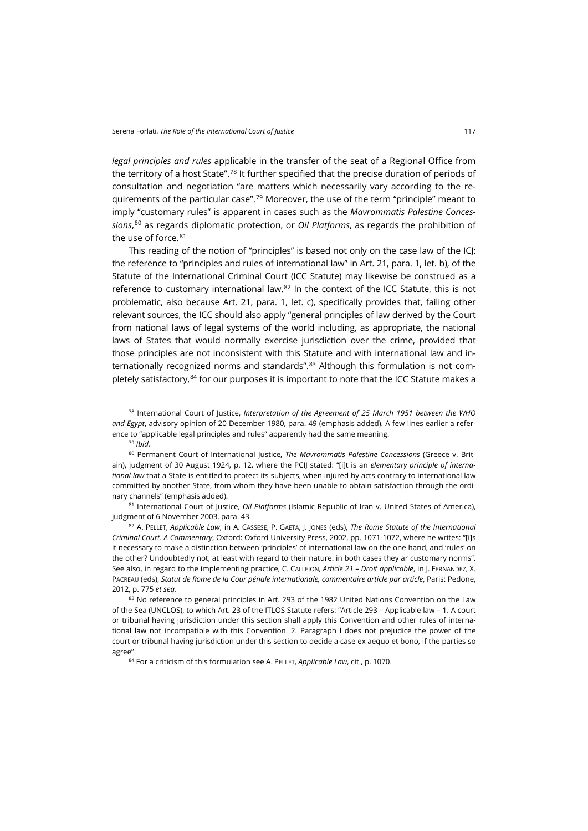*legal principles and rules* applicable in the transfer of the seat of a Regional Office from the territory of a host State".[78](#page-14-0) It further specified that the precise duration of periods of consultation and negotiation "are matters which necessarily vary according to the re-quirements of the particular case".<sup>[79](#page-14-1)</sup> Moreover, the use of the term "principle" meant to imply "customary rules" is apparent in cases such as the *Mavrommatis Palestine Concessions*, [80](#page-14-2) as regards diplomatic protection, or *Oil Platforms*, as regards the prohibition of the use of force.<sup>[81](#page-14-3)</sup>

This reading of the notion of "principles" is based not only on the case law of the ICJ: the reference to "principles and rules of international law" in Art. 21, para. 1, let. b), of the Statute of the International Criminal Court (ICC Statute) may likewise be construed as a reference to customary international law.[82](#page-14-4) In the context of the ICC Statute, this is not problematic, also because Art. 21, para. 1, let. c), specifically provides that, failing other relevant sources, the ICC should also apply "general principles of law derived by the Court from national laws of legal systems of the world including, as appropriate, the national laws of States that would normally exercise jurisdiction over the crime, provided that those principles are not inconsistent with this Statute and with international law and internationally recognized norms and standards".[83](#page-14-5) Although this formulation is not com-pletely satisfactory,<sup>[84](#page-14-6)</sup> for our purposes it is important to note that the ICC Statute makes a

<span id="page-14-0"></span><sup>78</sup> International Court of Justice, *Interpretation of the Agreement of 25 March 1951 between the WHO and Egypt*, advisory opinion of 20 December 1980, para. 49 (emphasis added). A few lines earlier a reference to "applicable legal principles and rules" apparently had the same meaning.

<sup>79</sup> *Ibid.*

<span id="page-14-2"></span><span id="page-14-1"></span><sup>80</sup> Permanent Court of International Justice, *The Mavrommatis Palestine Concessions* (Greece v. Britain), judgment of 30 August 1924, p. 12, where the PCIJ stated: "[i]t is an *elementary principle of international law* that a State is entitled to protect its subjects, when injured by acts contrary to international law committed by another State, from whom they have been unable to obtain satisfaction through the ordinary channels" (emphasis added).

<span id="page-14-3"></span><sup>81</sup> International Court of Justice, *Oil Platforms* (Islamic Republic of Iran v. United States of America), judgment of 6 November 2003, para. 43.

<span id="page-14-4"></span><sup>82</sup> A. PELLET, *Applicable Law*, in A. CASSESE, P. GAETA, J. JONES (eds), *The Rome Statute of the International Criminal Court*. *A Commentary*, Oxford: Oxford University Press, 2002, pp. 1071-1072, where he writes: "[i]s it necessary to make a distinction between 'principles' of international law on the one hand, and 'rules' on the other? Undoubtedly not, at least with regard to their nature: in both cases they ar customary norms". See also, in regard to the implementing practice, C. CALLEJON, *Article 21 – Droit applicable*, in J. FERNANDEZ, X. PACREAU (eds), *Statut de Rome de la Cour pénale internationale, commentaire article par article*, Paris: Pedone, 2012, p. 775 *et seq*.

<span id="page-14-6"></span><span id="page-14-5"></span>83 No reference to general principles in Art. 293 of the 1982 United Nations Convention on the Law of the Sea (UNCLOS), to which Art. 23 of the ITLOS Statute refers: "Article 293 – Applicable law – 1. A court or tribunal having jurisdiction under this section shall apply this Convention and other rules of international law not incompatible with this Convention. 2. Paragraph l does not prejudice the power of the court or tribunal having jurisdiction under this section to decide a case ex aequo et bono, if the parties so agree".

<sup>84</sup> For a criticism of this formulation see A. PELLET, *Applicable Law*, cit., p. 1070.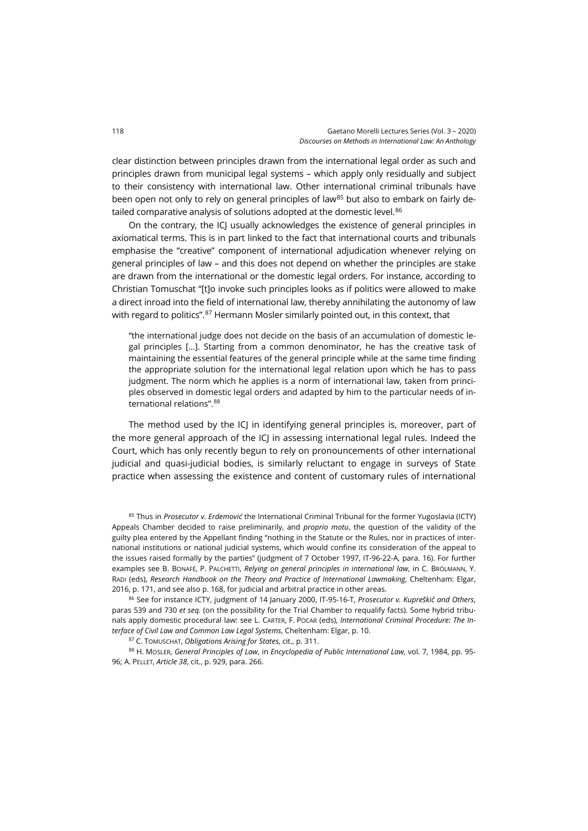clear distinction between principles drawn from the international legal order as such and principles drawn from municipal legal systems – which apply only residually and subject to their consistency with international law. Other international criminal tribunals have been open not only to rely on general principles of law<sup>[85](#page-15-0)</sup> but also to embark on fairly de-tailed comparative analysis of solutions adopted at the domestic level.<sup>[86](#page-15-1)</sup>

On the contrary, the ICJ usually acknowledges the existence of general principles in axiomatical terms. This is in part linked to the fact that international courts and tribunals emphasise the "creative" component of international adjudication whenever relying on general principles of law – and this does not depend on whether the principles are stake are drawn from the international or the domestic legal orders. For instance, according to Christian Tomuschat "[t]o invoke such principles looks as if politics were allowed to make a direct inroad into the field of international law, thereby annihilating the autonomy of law with regard to politics".<sup>[87](#page-15-2)</sup> Hermann Mosler similarly pointed out, in this context, that

"the international judge does not decide on the basis of an accumulation of domestic legal principles […]. Starting from a common denominator, he has the creative task of maintaining the essential features of the general principle while at the same time finding the appropriate solution for the international legal relation upon which he has to pass judgment. The norm which he applies is a norm of international law, taken from principles observed in domestic legal orders and adapted by him to the particular needs of international relations". [88](#page-15-3)

The method used by the ICJ in identifying general principles is, moreover, part of the more general approach of the ICJ in assessing international legal rules. Indeed the Court, which has only recently begun to rely on pronouncements of other international judicial and quasi-judicial bodies, is similarly reluctant to engage in surveys of State practice when assessing the existence and content of customary rules of international

<span id="page-15-0"></span><sup>85</sup> Thus in *Prosecutor v. Erdemović* the International Criminal Tribunal for the former Yugoslavia (ICTY) Appeals Chamber decided to raise preliminarily, and *proprio motu*, the question of the validity of the guilty plea entered by the Appellant finding "nothing in the Statute or the Rules, nor in practices of international institutions or national judicial systems, which would confine its consideration of the appeal to the issues raised formally by the parties" (judgment of 7 October 1997, IT-96-22-A, para. 16). For further examples see B. BONAFÉ, P. PALCHETTI, *Relying on general principles in international law*, in C. BRÖLMANN, Y. RADI (eds), *Research Handbook on the Theory and Practice of International Lawmaking*, Cheltenham: Elgar, 2016, p. 171, and see also p. 168, for judicial and arbitral practice in other areas.

<span id="page-15-1"></span><sup>86</sup> See for instance ICTY, judgment of 14 January 2000, IT-95-16-T, *Prosecutor v. Kupreškič and Others*, paras 539 and 730 *et seq.* (on the possibility for the Trial Chamber to requalify facts). Some hybrid tribunals apply domestic procedural law: see L. CARTER, F. POCAR (eds), *International Criminal Procedure: The Interface of Civil Law and Common Law Legal Systems*, Cheltenham: Elgar, p. 10.

<sup>87</sup> C. TOMUSCHAT, *Obligations Arising for States*, cit., p. 311.

<span id="page-15-3"></span><span id="page-15-2"></span><sup>88</sup> H. MOSLER, *General Principles of Law*, in *Encyclopedia of Public International Law*, vol. 7, 1984, pp. 95- 96; A. PELLET, *Article 38*, cit., p. 929, para. 266.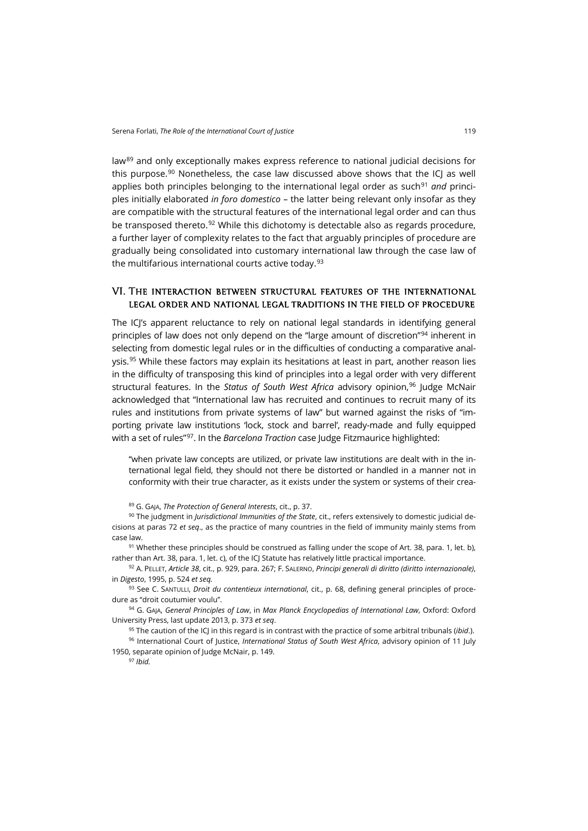law<sup>[89](#page-16-0)</sup> and only exceptionally makes express reference to national judicial decisions for this purpose.<sup>[90](#page-16-1)</sup> Nonetheless, the case law discussed above shows that the ICI as well applies both principles belonging to the international legal order as such<sup>[91](#page-16-2)</sup> and principles initially elaborated *in foro domestico* – the latter being relevant only insofar as they are compatible with the structural features of the international legal order and can thus be transposed thereto.<sup>[92](#page-16-3)</sup> While this dichotomy is detectable also as regards procedure, a further layer of complexity relates to the fact that arguably principles of procedure are gradually being consolidated into customary international law through the case law of the multifarious international courts active today.<sup>[93](#page-16-4)</sup>

#### VI. The interaction between structural features of the international legal order and national legal traditions in the field of procedure

The ICI's apparent reluctance to rely on national legal standards in identifying general principles of law does not only depend on the "large amount of discretion"[94](#page-16-5) inherent in selecting from domestic legal rules or in the difficulties of conducting a comparative anal-ysis.<sup>[95](#page-16-6)</sup> While these factors may explain its hesitations at least in part, another reason lies in the difficulty of transposing this kind of principles into a legal order with very different structural features. In the *Status of South West Africa* advisory opinion,[96](#page-16-7) Judge McNair acknowledged that "International law has recruited and continues to recruit many of its rules and institutions from private systems of law" but warned against the risks of "importing private law institutions 'lock, stock and barrel', ready-made and fully equipped with a set of rules"[97](#page-16-8). In the *Barcelona Traction* case Judge Fitzmaurice highlighted:

"when private law concepts are utilized, or private law institutions are dealt with in the international legal field, they should not there be distorted or handled in a manner not in conformity with their true character, as it exists under the system or systems of their crea-

<sup>89</sup> G. GAJA, *The Protection of General Interests*, cit., p. 37.

<span id="page-16-1"></span><span id="page-16-0"></span><sup>90</sup> The judgment in *Jurisdictional Immunities of the State*, cit., refers extensively to domestic judicial decisions at paras 72 *et seq*., as the practice of many countries in the field of immunity mainly stems from case law.

<span id="page-16-2"></span> $91$  Whether these principles should be construed as falling under the scope of Art. 38, para. 1, let. b), rather than Art. 38, para. 1, let. c), of the ICJ Statute has relatively little practical importance.

<span id="page-16-3"></span><sup>92</sup> A. PELLET, *Article 38*, cit., p. 929, para. 267; F. SALERNO, *Principi generali di diritto (diritto internazionale)*, in *Digesto*, 1995, p. 524 *et seq.*

<span id="page-16-4"></span><sup>93</sup> See C. SANTULLI, *Droit du contentieux international*, cit., p. 68, defining general principles of procedure as "droit coutumier voulu".

<span id="page-16-5"></span><sup>94</sup> G. GAJA, *General Principles of Law*, in *Max Planck Encyclopedias of International Law*, Oxford: Oxford University Press, last update 2013, p. 373 *et seq*.

<sup>95</sup> The caution of the ICJ in this regard is in contrast with the practice of some arbitral tribunals (*ibid*.).

<span id="page-16-8"></span><span id="page-16-7"></span><span id="page-16-6"></span><sup>96</sup> International Court of Justice, *International Status of South West Africa*, advisory opinion of 11 July 1950, separate opinion of Judge McNair, p. 149.

<sup>97</sup> *Ibid.*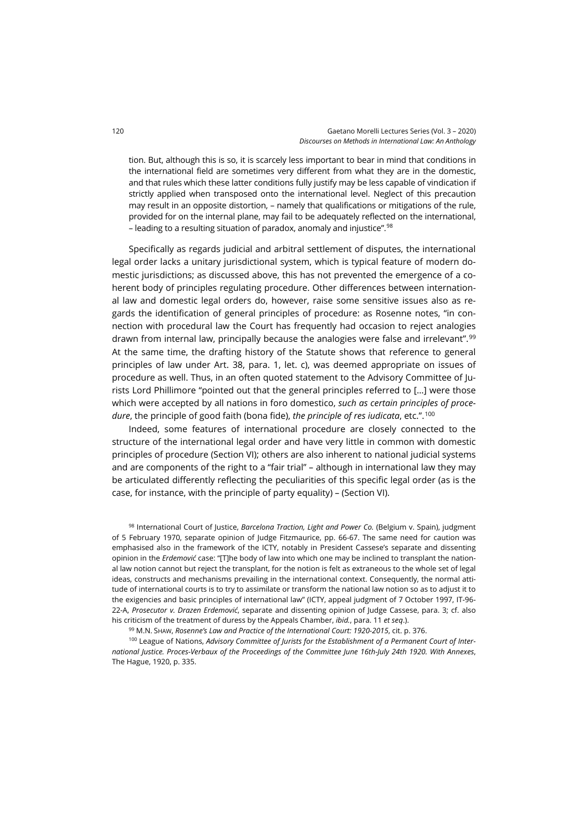tion. But, although this is so, it is scarcely less important to bear in mind that conditions in the international field are sometimes very different from what they are in the domestic, and that rules which these latter conditions fully justify may be less capable of vindication if strictly applied when transposed onto the international level. Neglect of this precaution may result in an opposite distortion, – namely that qualifications or mitigations of the rule, provided for on the internal plane, may fail to be adequately reflected on the international, – leading to a resulting situation of paradox, anomaly and injustice".[98](#page-17-0)

Specifically as regards judicial and arbitral settlement of disputes, the international legal order lacks a unitary jurisdictional system, which is typical feature of modern domestic jurisdictions; as discussed above, this has not prevented the emergence of a coherent body of principles regulating procedure. Other differences between international law and domestic legal orders do, however, raise some sensitive issues also as regards the identification of general principles of procedure: as Rosenne notes, "in connection with procedural law the Court has frequently had occasion to reject analogies drawn from internal law, principally because the analogies were false and irrelevant".[99](#page-17-1) At the same time, the drafting history of the Statute shows that reference to general principles of law under Art. 38, para. 1, let. c), was deemed appropriate on issues of procedure as well. Thus, in an often quoted statement to the Advisory Committee of Jurists Lord Phillimore "pointed out that the general principles referred to […] were those which were accepted by all nations in foro domestico, *such as certain principles of procedure*, the principle of good faith (bona fide), *the principle of res iudicata*, etc.". [100](#page-17-2)

Indeed, some features of international procedure are closely connected to the structure of the international legal order and have very little in common with domestic principles of procedure (Section VI); others are also inherent to national judicial systems and are components of the right to a "fair trial" – although in international law they may be articulated differently reflecting the peculiarities of this specific legal order (as is the case, for instance, with the principle of party equality) – (Section VI).

<span id="page-17-0"></span>98 International Court of Justice, *Barcelona Traction, Light and Power Co.* (Belgium v. Spain), judgment of 5 February 1970, separate opinion of Judge Fitzmaurice, pp. 66-67. The same need for caution was emphasised also in the framework of the ICTY, notably in President Cassese's separate and dissenting opinion in the *Erdemović* case: "[T]he body of law into which one may be inclined to transplant the national law notion cannot but reject the transplant, for the notion is felt as extraneous to the whole set of legal ideas, constructs and mechanisms prevailing in the international context. Consequently, the normal attitude of international courts is to try to assimilate or transform the national law notion so as to adjust it to the exigencies and basic principles of international law" (ICTY, appeal judgment of 7 October 1997, IT-96- 22-A, *Prosecutor v. Drazen Erdemović*, separate and dissenting opinion of Judge Cassese, para. 3; cf. also his criticism of the treatment of duress by the Appeals Chamber, *ibid.*, para. 11 *et seq*.).

<sup>99</sup> M.N. SHAW, *Rosenne's Law and Practice of the International Court: 1920-2015*, cit. p. 376.

<span id="page-17-2"></span><span id="page-17-1"></span><sup>100</sup> League of Nations, *Advisory Committee of Jurists for the Establishment of a Permanent Court of International Justice. Proces-Verbaux of the Proceedings of the Committee June 16th-July 24th 1920. With Annexes*, The Hague, 1920, p. 335.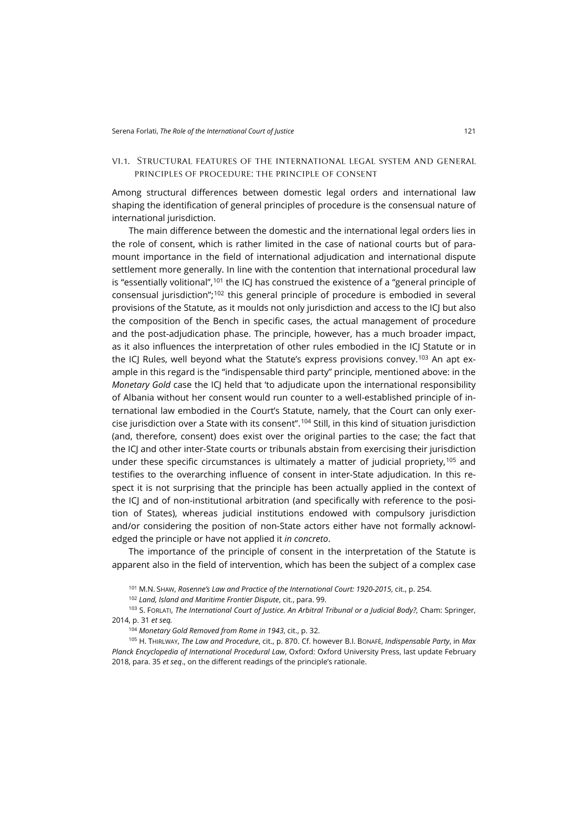#### vi.1. Structural features of the international legal system and general principles of procedure: the principle of consent

Among structural differences between domestic legal orders and international law shaping the identification of general principles of procedure is the consensual nature of international jurisdiction.

The main difference between the domestic and the international legal orders lies in the role of consent, which is rather limited in the case of national courts but of paramount importance in the field of international adjudication and international dispute settlement more generally. In line with the contention that international procedural law is "essentially volitional",<sup>[101](#page-18-0)</sup> the ICJ has construed the existence of a "general principle of consensual jurisdiction";[102](#page-18-1) this general principle of procedure is embodied in several provisions of the Statute, as it moulds not only jurisdiction and access to the ICJ but also the composition of the Bench in specific cases, the actual management of procedure and the post-adjudication phase. The principle, however, has a much broader impact, as it also influences the interpretation of other rules embodied in the ICJ Statute or in the ICJ Rules, well beyond what the Statute's express provisions convey.<sup>[103](#page-18-2)</sup> An apt example in this regard is the "indispensable third party" principle, mentioned above: in the *Monetary Gold* case the ICJ held that 'to adjudicate upon the international responsibility of Albania without her consent would run counter to a well-established principle of international law embodied in the Court's Statute, namely, that the Court can only exercise jurisdiction over a State with its consent".[104](#page-18-3) Still, in this kind of situation jurisdiction (and, therefore, consent) does exist over the original parties to the case; the fact that the ICJ and other inter-State courts or tribunals abstain from exercising their jurisdiction under these specific circumstances is ultimately a matter of judicial propriety,  $105$  and testifies to the overarching influence of consent in inter-State adjudication. In this respect it is not surprising that the principle has been actually applied in the context of the ICJ and of non-institutional arbitration (and specifically with reference to the position of States), whereas judicial institutions endowed with compulsory jurisdiction and/or considering the position of non-State actors either have not formally acknowledged the principle or have not applied it *in concreto*.

The importance of the principle of consent in the interpretation of the Statute is apparent also in the field of intervention, which has been the subject of a complex case

<sup>101</sup> M.N. SHAW, *Rosenne's Law and Practice of the International Court: 1920-2015*, cit., p. 254.

<sup>102</sup> *Land, Island and Maritime Frontier Dispute*, cit., para. 99.

<span id="page-18-2"></span><span id="page-18-1"></span><span id="page-18-0"></span><sup>103</sup> S. FORLATI, *The International Court of Justice. An Arbitral Tribunal or a Judicial Body?*, Cham: Springer, 2014, p. 31 *et seq.*

<sup>104</sup> *Monetary Gold Removed from Rome in 1943*, cit., p. 32.

<span id="page-18-4"></span><span id="page-18-3"></span><sup>105</sup> H. THIRLWAY, *The Law and Procedure*, cit., p. 870. Cf. however B.I. BONAFÉ, *Indispensable Party*, in *Max Planck Encyclopedia of International Procedural Law*, Oxford: Oxford University Press, last update February 2018, para. 35 *et seq*., on the different readings of the principle's rationale.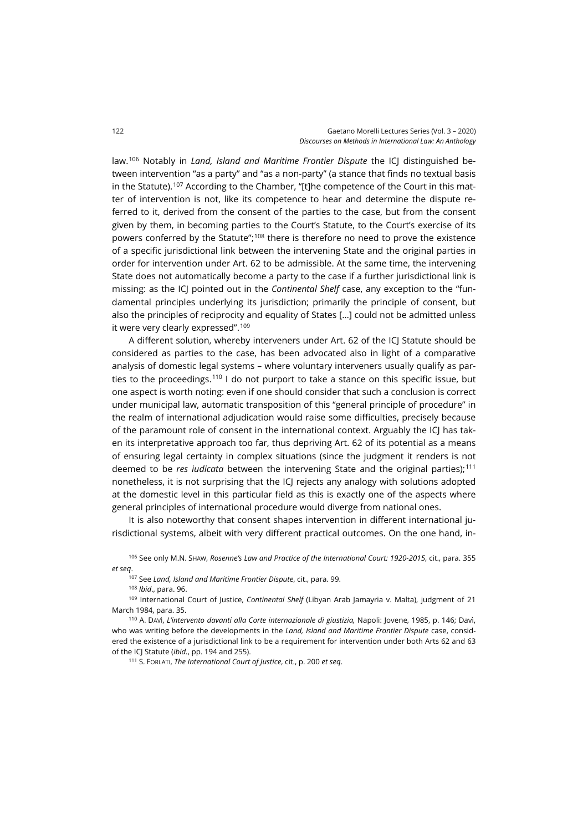law.[106](#page-19-0) Notably in *Land, Island and Maritime Frontier Dispute* the ICJ distinguished between intervention "as a party" and "as a non-party" (a stance that finds no textual basis in the Statute).<sup>[107](#page-19-1)</sup> According to the Chamber, "[t]he competence of the Court in this matter of intervention is not, like its competence to hear and determine the dispute referred to it, derived from the consent of the parties to the case, but from the consent given by them, in becoming parties to the Court's Statute, to the Court's exercise of its powers conferred by the Statute";[108](#page-19-2) there is therefore no need to prove the existence of a specific jurisdictional link between the intervening State and the original parties in order for intervention under Art. 62 to be admissible. At the same time, the intervening State does not automatically become a party to the case if a further jurisdictional link is missing: as the ICJ pointed out in the *Continental Shelf* case, any exception to the "fundamental principles underlying its jurisdiction; primarily the principle of consent, but also the principles of reciprocity and equality of States […] could not be admitted unless it were very clearly expressed".<sup>[109](#page-19-3)</sup>

A different solution, whereby interveners under Art. 62 of the ICJ Statute should be considered as parties to the case, has been advocated also in light of a comparative analysis of domestic legal systems – where voluntary interveners usually qualify as parties to the proceedings.[110](#page-19-4) I do not purport to take a stance on this specific issue, but one aspect is worth noting: even if one should consider that such a conclusion is correct under municipal law, automatic transposition of this "general principle of procedure" in the realm of international adjudication would raise some difficulties, precisely because of the paramount role of consent in the international context. Arguably the ICJ has taken its interpretative approach too far, thus depriving Art. 62 of its potential as a means of ensuring legal certainty in complex situations (since the judgment it renders is not deemed to be *res iudicata* between the intervening State and the original parties);<sup>[111](#page-19-5)</sup> nonetheless, it is not surprising that the ICJ rejects any analogy with solutions adopted at the domestic level in this particular field as this is exactly one of the aspects where general principles of international procedure would diverge from national ones.

It is also noteworthy that consent shapes intervention in different international jurisdictional systems, albeit with very different practical outcomes. On the one hand, in-

<span id="page-19-1"></span><span id="page-19-0"></span><sup>106</sup> See only M.N. SHAW, *Rosenne's Law and Practice of the International Court: 1920-2015*, cit., para. 355 *et seq*.

<sup>107</sup> See *Land, Island and Maritime Frontier Dispute*, cit., para. 99.

<sup>108</sup> *Ibid*., para. 96.

<span id="page-19-3"></span><span id="page-19-2"></span><sup>109</sup> International Court of Justice, *Continental Shelf* (Libyan Arab Jamayria v. Malta), judgment of 21 March 1984, para. 35.

<span id="page-19-5"></span><span id="page-19-4"></span>110 A. Davì, L'intervento davanti alla Corte internazionale di giustizia, Napoli: Jovene, 1985, p. 146; Davì, who was writing before the developments in the *Land, Island and Maritime Frontier Dispute* case, considered the existence of a jurisdictional link to be a requirement for intervention under both Arts 62 and 63 of the ICJ Statute (*ibid.*, pp. 194 and 255).

<sup>111</sup> S. FORLATI, *The International Court of Justice*, cit., p. 200 *et seq*.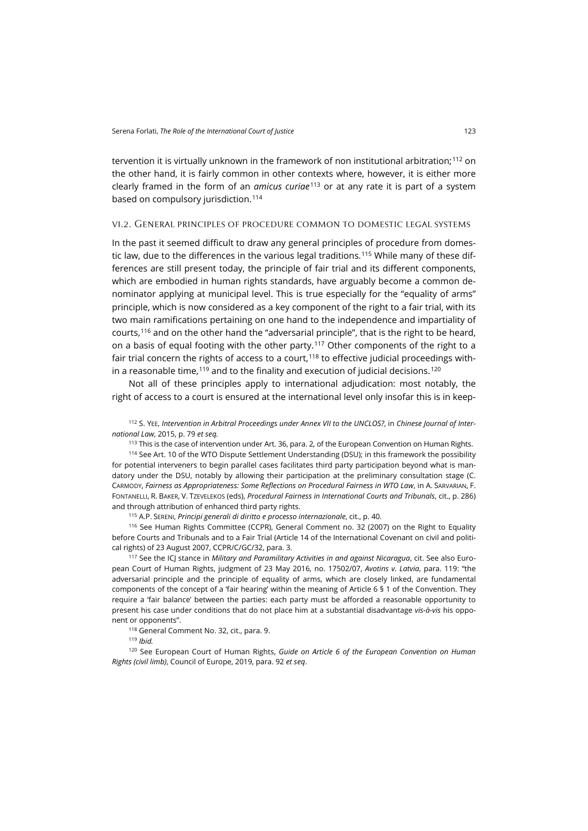tervention it is virtually unknown in the framework of non institutional arbitration;[112](#page-20-0) on the other hand, it is fairly common in other contexts where, however, it is either more clearly framed in the form of an *amicus curiae*[113](#page-20-1) or at any rate it is part of a system based on compulsory jurisdiction.<sup>[114](#page-20-2)</sup>

#### vi.2. General principles of procedure common to domestic legal systems

In the past it seemed difficult to draw any general principles of procedure from domes-tic law, due to the differences in the various legal traditions.<sup>[115](#page-20-3)</sup> While many of these differences are still present today, the principle of fair trial and its different components, which are embodied in human rights standards, have arguably become a common denominator applying at municipal level. This is true especially for the "equality of arms" principle, which is now considered as a key component of the right to a fair trial, with its two main ramifications pertaining on one hand to the independence and impartiality of courts,<sup>[116](#page-20-4)</sup> and on the other hand the "adversarial principle", that is the right to be heard, on a basis of equal footing with the other party.<sup>[117](#page-20-5)</sup> Other components of the right to a fair trial concern the rights of access to a court, $118$  to effective judicial proceedings within a reasonable time,  $119$  and to the finality and execution of judicial decisions.  $120$ 

Not all of these principles apply to international adjudication: most notably, the right of access to a court is ensured at the international level only insofar this is in keep-

<span id="page-20-0"></span><sup>112</sup> S. YEE, *Intervention in Arbitral Proceedings under Annex VII to the UNCLOS?*, in *Chinese Journal of International Law*, 2015, p. 79 *et seq.*

<sup>113</sup> This is the case of intervention under Art. 36, para. 2, of the European Convention on Human Rights.

<span id="page-20-2"></span><span id="page-20-1"></span>114 See Art. 10 of the WTO Dispute Settlement Understanding (DSU); in this framework the possibility for potential interveners to begin parallel cases facilitates third party participation beyond what is mandatory under the DSU, notably by allowing their participation at the preliminary consultation stage (C. CARMODY, *Fairness as Appropriateness: Some Reflections on Procedural Fairness in WTO Law*, in A. SARVARIAN, F. FONTANELLI, R. BAKER, V. TZEVELEKOS (eds), *Procedural Fairness in International Courts and Tribunals*, cit., p. 286) and through attribution of enhanced third party rights.

<sup>115</sup> A.P. SERENI, *Principi generali di diritto e processo internazionale*, cit., p. 40.

<span id="page-20-4"></span><span id="page-20-3"></span><sup>116</sup> See Human Rights Committee (CCPR), General Comment no. 32 (2007) on the Right to Equality before Courts and Tribunals and to a Fair Trial (Article 14 of the International Covenant on civil and political rights) of 23 August 2007, CCPR/C/GC/32, para. 3.

<span id="page-20-5"></span><sup>117</sup> See the ICJ stance in *Military and Paramilitary Activities in and against Nicaragua*, cit. See also European Court of Human Rights, judgment of 23 May 2016, no. 17502/07, *Avotins v. Latvia*, para. 119: "the adversarial principle and the principle of equality of arms, which are closely linked, are fundamental components of the concept of a 'fair hearing' within the meaning of Article 6 § 1 of the Convention. They require a 'fair balance' between the parties: each party must be afforded a reasonable opportunity to present his case under conditions that do not place him at a substantial disadvantage *vis-à-vis* his opponent or opponents".

118 General Comment No. 32, cit., para. 9.

<sup>119</sup> *Ibid.*

<span id="page-20-8"></span><span id="page-20-7"></span><span id="page-20-6"></span><sup>120</sup> See European Court of Human Rights, *Guide on Article 6 of the European Convention on Human Rights (civil limb)*, Council of Europe, 2019, para. 92 *et seq*.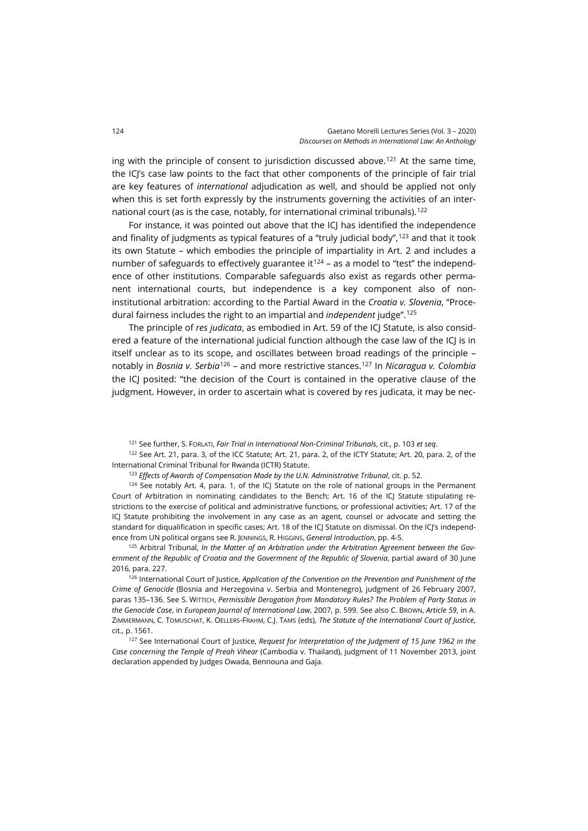ing with the principle of consent to jurisdiction discussed above.<sup>[121](#page-21-0)</sup> At the same time, the ICJ's case law points to the fact that other components of the principle of fair trial are key features of *international* adjudication as well, and should be applied not only when this is set forth expressly by the instruments governing the activities of an inter-national court (as is the case, notably, for international criminal tribunals).<sup>[122](#page-21-1)</sup>

For instance, it was pointed out above that the ICJ has identified the independence and finality of judgments as typical features of a "truly judicial body",<sup>[123](#page-21-2)</sup> and that it took its own Statute – which embodies the principle of impartiality in Art. 2 and includes a number of safeguards to effectively guarantee it<sup>[124](#page-21-3)</sup> – as a model to "test" the independence of other institutions. Comparable safeguards also exist as regards other permanent international courts, but independence is a key component also of noninstitutional arbitration: according to the Partial Award in the *Croatia v. Slovenia*, "Procedural fairness includes the right to an impartial and *independent* judge".[125](#page-21-4)

The principle of *res judicata*, as embodied in Art. 59 of the ICJ Statute, is also considered a feature of the international judicial function although the case law of the ICJ is in itself unclear as to its scope, and oscillates between broad readings of the principle – notably in *Bosnia v. Serbia*[126](#page-21-5) – and more restrictive stances.[127](#page-21-6) In *Nicaragua v. Colombia* the ICJ posited: "the decision of the Court is contained in the operative clause of the judgment. However, in order to ascertain what is covered by res judicata, it may be nec-

<sup>121</sup> See further, S. FORLATI, *Fair Trial in International Non-Criminal Tribunals*, cit., p. 103 *et seq*.

<span id="page-21-1"></span><span id="page-21-0"></span><sup>122</sup> See Art. 21, para. 3, of the ICC Statute; Art. 21, para. 2, of the ICTY Statute; Art. 20, para. 2, of the International Criminal Tribunal for Rwanda (ICTR) Statute.

<sup>123</sup> *Effects of Awards of Compensation Made by the U.N. Administrative Tribunal*, cit. p. 52.

<span id="page-21-3"></span><span id="page-21-2"></span> $124$  See notably Art. 4, para. 1, of the ICJ Statute on the role of national groups in the Permanent Court of Arbitration in nominating candidates to the Bench; Art. 16 of the ICJ Statute stipulating restrictions to the exercise of political and administrative functions, or professional activities; Art. 17 of the ICJ Statute prohibiting the involvement in any case as an agent, counsel or advocate and setting the standard for diqualification in specific cases; Art. 18 of the ICJ Statute on dismissal. On the ICJ's independence from UN political organs see R. JENNINGS, R. HIGGINS, *General Introduction*, pp. 4-5.

<span id="page-21-4"></span><sup>125</sup> Arbitral Tribunal, *In the Matter of an Arbitration under the Arbitration Agreement between the Government of the Republic of Croatia and the Govermnent of the Republic of Slovenia*, partial award of 30 June 2016, para. 227.

<span id="page-21-5"></span><sup>126</sup> International Court of Justice, *Application of the Convention on the Prevention and Punishment of the Crime of Genocide* (Bosnia and Herzegovina v. Serbia and Montenegro), judgment of 26 February 2007, paras 135–136. See S. WITTICH, *Permissible Derogation from Mandatory Rules? The Problem of Party Status in the Genocide Case*, in *European Journal of International Law*, 2007, p. 599. See also C. BROWN, *Article 59*, in A. ZIMMERMANN, C. TOMUSCHAT, K. OELLERS-FRAHM, C.J. TAMS (eds), *The Statute of the International Court of Justice*, cit., p. 1561.

<span id="page-21-6"></span><sup>127</sup> See International Court of Justice, *Request for Interpretation of the Judgment of 15 June 1962 in the Case concerning the Temple of Preah Vihear* (Cambodia v. Thailand), judgment of 11 November 2013, joint declaration appended by Judges Owada, Bennouna and Gaja.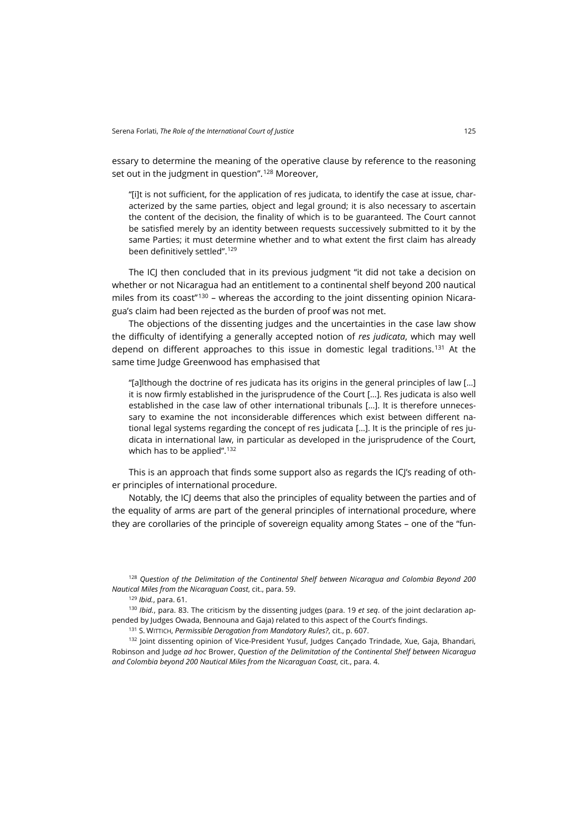essary to determine the meaning of the operative clause by reference to the reasoning set out in the judgment in question".<sup>[128](#page-22-0)</sup> Moreover,

"[i]t is not sufficient, for the application of res judicata, to identify the case at issue, characterized by the same parties, object and legal ground; it is also necessary to ascertain the content of the decision, the finality of which is to be guaranteed. The Court cannot be satisfied merely by an identity between requests successively submitted to it by the same Parties; it must determine whether and to what extent the first claim has already been definitively settled".[129](#page-22-1)

The ICJ then concluded that in its previous judgment "it did not take a decision on whether or not Nicaragua had an entitlement to a continental shelf beyond 200 nautical miles from its coast" $130 130 -$  whereas the according to the joint dissenting opinion Nicaragua's claim had been rejected as the burden of proof was not met.

The objections of the dissenting judges and the uncertainties in the case law show the difficulty of identifying a generally accepted notion of *res judicata*, which may well depend on different approaches to this issue in domestic legal traditions.<sup>[131](#page-22-3)</sup> At the same time Judge Greenwood has emphasised that

"[a]lthough the doctrine of res judicata has its origins in the general principles of law […] it is now firmly established in the jurisprudence of the Court […]. Res judicata is also well established in the case law of other international tribunals […]. It is therefore unnecessary to examine the not inconsiderable differences which exist between different national legal systems regarding the concept of res judicata […]. It is the principle of res judicata in international law, in particular as developed in the jurisprudence of the Court, which has to be applied".<sup>[132](#page-22-4)</sup>

This is an approach that finds some support also as regards the ICJ's reading of other principles of international procedure.

Notably, the ICJ deems that also the principles of equality between the parties and of the equality of arms are part of the general principles of international procedure, where they are corollaries of the principle of sovereign equality among States – one of the "fun-

<span id="page-22-0"></span><sup>128</sup> *Question of the Delimitation of the Continental Shelf between Nicaragua and Colombia Beyond 200 Nautical Miles from the Nicaraguan Coast*, cit., para. 59.

<sup>129</sup> *Ibid.*, para. 61.

<span id="page-22-2"></span><span id="page-22-1"></span><sup>130</sup> *Ibid.*, para. 83. The criticism by the dissenting judges (para. 19 *et seq*. of the joint declaration appended by Judges Owada, Bennouna and Gaja) related to this aspect of the Court's findings.

<sup>131</sup> S. WITTICH, *Permissible Derogation from Mandatory Rules?*, cit., p. 607.

<span id="page-22-4"></span><span id="page-22-3"></span>132 Joint dissenting opinion of Vice-President Yusuf, Judges Cançado Trindade, Xue, Gaja, Bhandari, Robinson and Judge *ad hoc* Brower, *Question of the Delimitation of the Continental Shelf between Nicaragua and Colombia beyond 200 Nautical Miles from the Nicaraguan Coast*, cit., para. 4.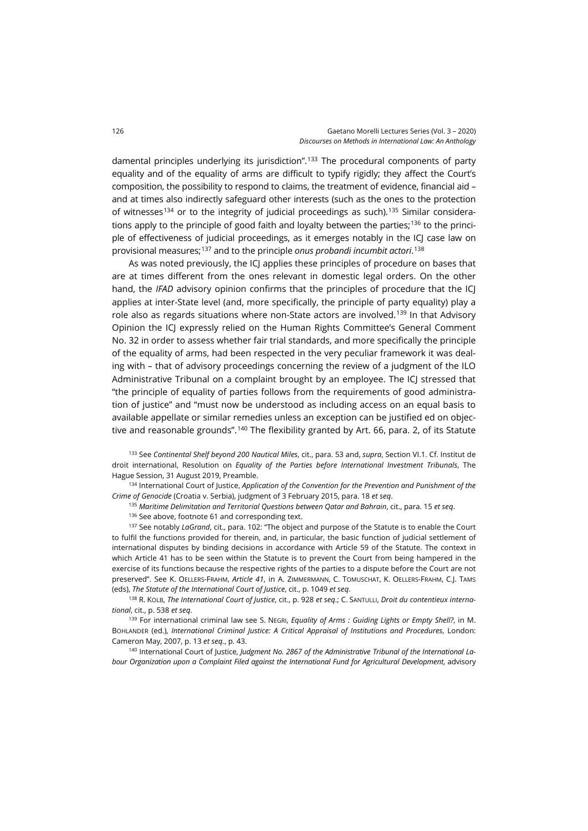damental principles underlying its jurisdiction".[133](#page-23-0) The procedural components of party equality and of the equality of arms are difficult to typify rigidly; they affect the Court's composition, the possibility to respond to claims, the treatment of evidence, financial aid – and at times also indirectly safeguard other interests (such as the ones to the protection of witnesses<sup>[134](#page-23-1)</sup> or to the integrity of judicial proceedings as such).<sup>[135](#page-23-2)</sup> Similar considera-tions apply to the principle of good faith and loyalty between the parties;<sup>[136](#page-23-3)</sup> to the principle of effectiveness of judicial proceedings, as it emerges notably in the ICJ case law on provisional measures;[137](#page-23-4) and to the principle *onus probandi incumbit actori*. [138](#page-23-5)

As was noted previously, the ICJ applies these principles of procedure on bases that are at times different from the ones relevant in domestic legal orders. On the other hand, the *IFAD* advisory opinion confirms that the principles of procedure that the ICJ applies at inter-State level (and, more specifically, the principle of party equality) play a role also as regards situations where non-State actors are involved.<sup>[139](#page-23-6)</sup> In that Advisory Opinion the ICJ expressly relied on the Human Rights Committee's General Comment No. 32 in order to assess whether fair trial standards, and more specifically the principle of the equality of arms, had been respected in the very peculiar framework it was dealing with – that of advisory proceedings concerning the review of a judgment of the ILO Administrative Tribunal on a complaint brought by an employee. The ICJ stressed that "the principle of equality of parties follows from the requirements of good administration of justice" and "must now be understood as including access on an equal basis to available appellate or similar remedies unless an exception can be justified ed on objec-tive and reasonable grounds".<sup>[140](#page-23-7)</sup> The flexibility granted by Art. 66, para. 2, of its Statute

<span id="page-23-0"></span><sup>133</sup> See *Continental Shelf beyond 200 Nautical Miles*, cit., para. 53 and, *supra*, Section VI.1. Cf. Institut de droit international, Resolution on *Equality of the Parties before International Investment Tribunals*, The Hague Session, 31 August 2019, Preamble.

<span id="page-23-2"></span><span id="page-23-1"></span><sup>134</sup> International Court of Justice, *Application of the Convention for the Prevention and Punishment of the Crime of Genocide* (Croatia v. Serbia), judgment of 3 February 2015, para. 18 *et seq*.

<sup>135</sup> *Maritime Delimitation and Territorial Questions between Qatar and Bahrain*, cit., para. 15 *et seq*.

<sup>136</sup> See above, footnote 61 and corresponding text.

<span id="page-23-4"></span><span id="page-23-3"></span><sup>137</sup> See notably *LaGrand*, cit., para. 102: "The object and purpose of the Statute is to enable the Court to fulfil the functions provided for therein, and, in particular, the basic function of judicial settlement of international disputes by binding decisions in accordance with Article 59 of the Statute. The context in which Article 41 has to be seen within the Statute is to prevent the Court from being hampered in the exercise of its functions because the respective rights of the parties to a dispute before the Court are not preserved". See K. OELLERS-FRAHM, *Article 41*, in A. ZIMMERMANN, C. TOMUSCHAT, K. OELLERS-FRAHM, C.J. TAMS (eds), *The Statute of the International Court of Justice*, cit., p. 1049 *et seq*.

<span id="page-23-5"></span><sup>138</sup> R. KOLB, *The International Court of Justice*, cit., p. 928 *et seq*.; C. SANTULLI, *Droit du contentieux international*, cit., p. 538 *et seq*.

<span id="page-23-6"></span><sup>139</sup> For international criminal law see S. NEGRI, *Equality of Arms : Guiding Lights or Empty Shell?*, in M. BOHLANDER (ed.), *International Criminal Justice: A Critical Appraisal of Institutions and Procedures*, London: Cameron May, 2007, p. 13 *et seq.*, p. 43.

<span id="page-23-7"></span><sup>140</sup> International Court of Justice, *Judgment No. 2867 of the Administrative Tribunal of the International Labour Organization upon a Complaint Filed against the International Fund for Agricultural Development*, advisory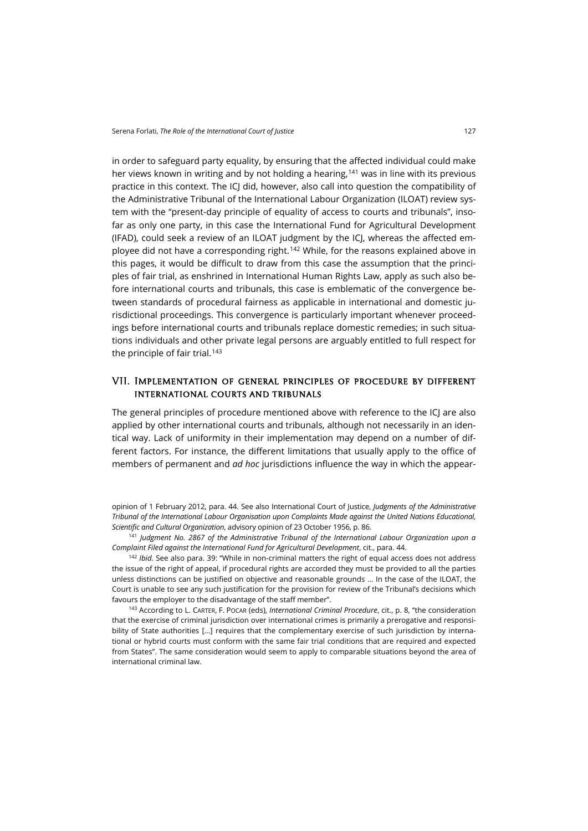in order to safeguard party equality, by ensuring that the affected individual could make her views known in writing and by not holding a hearing,[141](#page-24-0) was in line with its previous practice in this context. The ICJ did, however, also call into question the compatibility of the Administrative Tribunal of the International Labour Organization (ILOAT) review system with the "present-day principle of equality of access to courts and tribunals", insofar as only one party, in this case the International Fund for Agricultural Development (IFAD), could seek a review of an ILOAT judgment by the ICJ, whereas the affected employee did not have a corresponding right.[142](#page-24-1) While, for the reasons explained above in this pages, it would be difficult to draw from this case the assumption that the principles of fair trial, as enshrined in International Human Rights Law, apply as such also before international courts and tribunals, this case is emblematic of the convergence between standards of procedural fairness as applicable in international and domestic jurisdictional proceedings. This convergence is particularly important whenever proceedings before international courts and tribunals replace domestic remedies; in such situations individuals and other private legal persons are arguably entitled to full respect for the principle of fair trial. $143$ 

#### VII. Implementation of general principles of procedure by different international courts and tribunals

The general principles of procedure mentioned above with reference to the ICJ are also applied by other international courts and tribunals, although not necessarily in an identical way. Lack of uniformity in their implementation may depend on a number of different factors. For instance, the different limitations that usually apply to the office of members of permanent and *ad hoc* jurisdictions influence the way in which the appear-

opinion of 1 February 2012, para. 44. See also International Court of Justice, *Judgments of the Administrative Tribunal of the International Labour Organisation upon Complaints Made against the United Nations Educational, Scientific and Cultural Organization*, advisory opinion of 23 October 1956, p. 86.

<span id="page-24-0"></span><sup>141</sup> *Judgment No. 2867 of the Administrative Tribunal of the International Labour Organization upon a Complaint Filed against the International Fund for Agricultural Development*, cit., para. 44.

<span id="page-24-1"></span><sup>142</sup> *Ibid.* See also para. 39: "While in non-criminal matters the right of equal access does not address the issue of the right of appeal, if procedural rights are accorded they must be provided to all the parties unless distinctions can be justified on objective and reasonable grounds … In the case of the ILOAT, the Court is unable to see any such justification for the provision for review of the Tribunal's decisions which favours the employer to the disadvantage of the staff member".

<span id="page-24-2"></span><sup>143</sup> According to L. CARTER, F. POCAR (eds), *International Criminal Procedure*, cit., p. 8, "the consideration that the exercise of criminal jurisdiction over international crimes is primarily a prerogative and responsibility of State authorities […] requires that the complementary exercise of such jurisdiction by international or hybrid courts must conform with the same fair trial conditions that are required and expected from States". The same consideration would seem to apply to comparable situations beyond the area of international criminal law.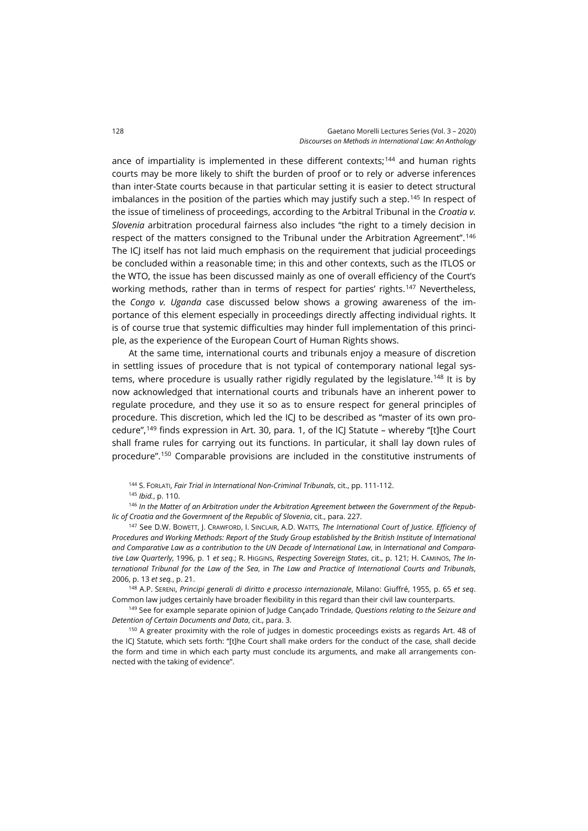ance of impartiality is implemented in these different contexts;<sup>[144](#page-25-0)</sup> and human rights courts may be more likely to shift the burden of proof or to rely or adverse inferences than inter-State courts because in that particular setting it is easier to detect structural imbalances in the position of the parties which may justify such a step.<sup>[145](#page-25-1)</sup> In respect of the issue of timeliness of proceedings, according to the Arbitral Tribunal in the *Croatia v. Slovenia* arbitration procedural fairness also includes "the right to a timely decision in respect of the matters consigned to the Tribunal under the Arbitration Agreement". [146](#page-25-2) The ICJ itself has not laid much emphasis on the requirement that judicial proceedings be concluded within a reasonable time; in this and other contexts, such as the ITLOS or the WTO, the issue has been discussed mainly as one of overall efficiency of the Court's working methods, rather than in terms of respect for parties' rights.<sup>[147](#page-25-3)</sup> Nevertheless, the *Congo v. Uganda* case discussed below shows a growing awareness of the importance of this element especially in proceedings directly affecting individual rights. It is of course true that systemic difficulties may hinder full implementation of this principle, as the experience of the European Court of Human Rights shows.

At the same time, international courts and tribunals enjoy a measure of discretion in settling issues of procedure that is not typical of contemporary national legal sys-tems, where procedure is usually rather rigidly regulated by the legislature.<sup>[148](#page-25-4)</sup> It is by now acknowledged that international courts and tribunals have an inherent power to regulate procedure, and they use it so as to ensure respect for general principles of procedure. This discretion, which led the ICJ to be described as "master of its own pro-cedure",<sup>[149](#page-25-5)</sup> finds expression in Art. 30, para. 1, of the ICJ Statute – whereby "[t]he Court shall frame rules for carrying out its functions. In particular, it shall lay down rules of procedure".[150](#page-25-6) Comparable provisions are included in the constitutive instruments of

<sup>144</sup> S. FORLATI, *Fair Trial in International Non-Criminal Tribunals*, cit., pp. 111-112.

<sup>145</sup> *Ibid.*, p. 110.

<span id="page-25-2"></span><span id="page-25-1"></span><span id="page-25-0"></span><sup>146</sup> *In the Matter of an Arbitration under the Arbitration Agreement between the Government of the Republic of Croatia and the Govermnent of the Republic of Slovenia*, cit., para. 227.

<span id="page-25-3"></span><sup>147</sup> See D.W. BOWETT, J. CRAWFORD, I. SINCLAIR, A.D. WATTS, *The International Court of Justice. Efficiency of Procedures and Working Methods: Report of the Study Group established by the British Institute of International and Comparative Law as a contribution to the UN Decade of International Law*, in *International and Comparative Law Quarterly*, 1996, p. 1 *et seq.*; R. HIGGINS, *Respecting Sovereign States*, cit., p. 121; H. CAMINOS, *The International Tribunal for the Law of the Sea*, in *The Law and Practice of International Courts and Tribunals*, 2006, p. 13 *et seq.*, p. 21.

<span id="page-25-4"></span><sup>148</sup> A.P. SERENI, *Principi generali di diritto e processo internazionale*, Milano: Giuffré, 1955, p. 65 *et seq*. Common law judges certainly have broader flexibility in this regard than their civil law counterparts.

<span id="page-25-5"></span><sup>149</sup> See for example separate opinion of Judge Cançado Trindade, *Questions relating to the Seizure and Detention of Certain Documents and Data*, cit., para. 3.

<span id="page-25-6"></span><sup>150</sup> A greater proximity with the role of judges in domestic proceedings exists as regards Art. 48 of the ICJ Statute, which sets forth: "[t]he Court shall make orders for the conduct of the case, shall decide the form and time in which each party must conclude its arguments, and make all arrangements connected with the taking of evidence".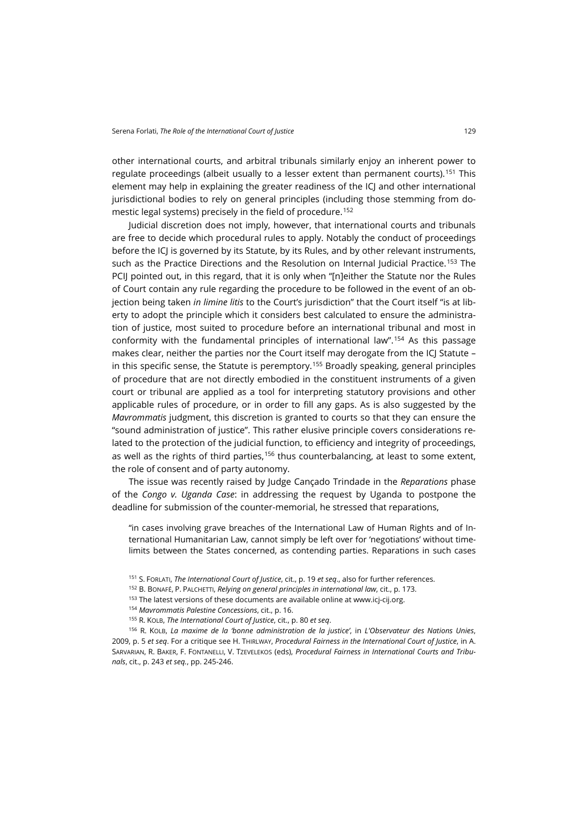other international courts, and arbitral tribunals similarly enjoy an inherent power to regulate proceedings (albeit usually to a lesser extent than permanent courts).<sup>[151](#page-26-0)</sup> This element may help in explaining the greater readiness of the ICJ and other international jurisdictional bodies to rely on general principles (including those stemming from do-mestic legal systems) precisely in the field of procedure.<sup>[152](#page-26-1)</sup>

Judicial discretion does not imply, however, that international courts and tribunals are free to decide which procedural rules to apply. Notably the conduct of proceedings before the ICJ is governed by its Statute, by its Rules, and by other relevant instruments, such as the Practice Directions and the Resolution on Internal Judicial Practice.<sup>[153](#page-26-2)</sup> The PCIJ pointed out, in this regard, that it is only when "[n]either the Statute nor the Rules of Court contain any rule regarding the procedure to be followed in the event of an objection being taken *in limine litis* to the Court's jurisdiction" that the Court itself "is at liberty to adopt the principle which it considers best calculated to ensure the administration of justice, most suited to procedure before an international tribunal and most in conformity with the fundamental principles of international law".[154](#page-26-3) As this passage makes clear, neither the parties nor the Court itself may derogate from the ICJ Statute – in this specific sense, the Statute is peremptory.[155](#page-26-4) Broadly speaking, general principles of procedure that are not directly embodied in the constituent instruments of a given court or tribunal are applied as a tool for interpreting statutory provisions and other applicable rules of procedure, or in order to fill any gaps. As is also suggested by the *Mavrommatis* judgment, this discretion is granted to courts so that they can ensure the "sound administration of justice". This rather elusive principle covers considerations related to the protection of the judicial function, to efficiency and integrity of proceedings, as well as the rights of third parties,<sup>[156](#page-26-5)</sup> thus counterbalancing, at least to some extent, the role of consent and of party autonomy.

The issue was recently raised by Judge Cançado Trindade in the *Reparations* phase of the *Congo v. Uganda Case*: in addressing the request by Uganda to postpone the deadline for submission of the counter-memorial, he stressed that reparations,

"in cases involving grave breaches of the International Law of Human Rights and of International Humanitarian Law, cannot simply be left over for 'negotiations' without timelimits between the States concerned, as contending parties. Reparations in such cases

- <sup>153</sup> The latest versions of these documents are available online a[t www.icj-cij.org.](https://www.icj-cij.org/)
- <sup>154</sup> *Mavrommatis Palestine Concessions*, cit., p. 16.
- <sup>155</sup> R. KOLB, *The International Court of Justice*, cit., p. 80 *et seq*.

<span id="page-26-5"></span><span id="page-26-4"></span><span id="page-26-3"></span><span id="page-26-2"></span><span id="page-26-1"></span><span id="page-26-0"></span><sup>156</sup> R. KOLB, *La maxime de la 'bonne administration de la justice'*, in *L'Observateur des Nations Unies*, 2009, p. 5 *et seq*. For a critique see H. THIRLWAY, *Procedural Fairness in the International Court of Justice*, in A. SARVARIAN, R. BAKER, F. FONTANELLI, V. TZEVELEKOS (eds), *Procedural Fairness in International Courts and Tribunals*, cit., p. 243 *et seq.*, pp. 245-246.

<sup>151</sup> S. FORLATI, *The International Court of Justice*, cit., p. 19 *et seq*., also for further references.

<sup>152</sup> B. BONAFÉ, P. PALCHETTI, *Relying on general principles in international law*, cit., p. 173.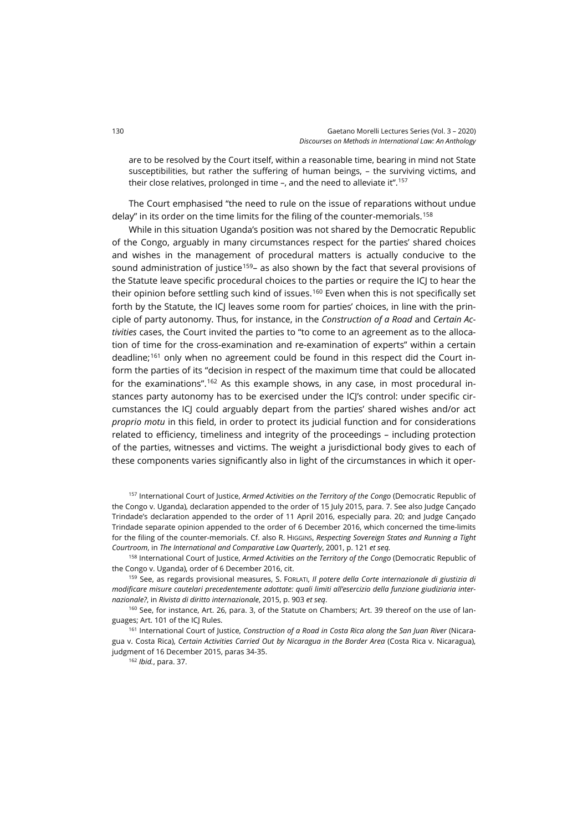are to be resolved by the Court itself, within a reasonable time, bearing in mind not State susceptibilities, but rather the suffering of human beings, – the surviving victims, and their close relatives, prolonged in time –, and the need to alleviate it".[157](#page-27-0)

The Court emphasised "the need to rule on the issue of reparations without undue delay" in its order on the time limits for the filing of the counter-memorials.<sup>[158](#page-27-1)</sup>

While in this situation Uganda's position was not shared by the Democratic Republic of the Congo, arguably in many circumstances respect for the parties' shared choices and wishes in the management of procedural matters is actually conducive to the sound administration of justice<sup>159</sup>– as also shown by the fact that several provisions of the Statute leave specific procedural choices to the parties or require the ICJ to hear the their opinion before settling such kind of issues.<sup>[160](#page-27-3)</sup> Even when this is not specifically set forth by the Statute, the ICJ leaves some room for parties' choices, in line with the principle of party autonomy. Thus, for instance, in the *Construction of a Road* and *Certain Activities* cases, the Court invited the parties to "to come to an agreement as to the allocation of time for the cross-examination and re-examination of experts" within a certain deadline;[161](#page-27-4) only when no agreement could be found in this respect did the Court inform the parties of its "decision in respect of the maximum time that could be allocated for the examinations".<sup>[162](#page-27-5)</sup> As this example shows, in any case, in most procedural instances party autonomy has to be exercised under the ICI's control: under specific circumstances the ICJ could arguably depart from the parties' shared wishes and/or act *proprio motu* in this field, in order to protect its judicial function and for considerations related to efficiency, timeliness and integrity of the proceedings – including protection of the parties, witnesses and victims. The weight a jurisdictional body gives to each of these components varies significantly also in light of the circumstances in which it oper-

<span id="page-27-0"></span><sup>157</sup> International Court of Justice, *Armed Activities on the Territory of the Congo* (Democratic Republic of the Congo v. Uganda), declaration appended to the order of 15 July 2015, para. 7. See also Judge Cançado Trindade's declaration appended to the order of 11 April 2016, especially para. 20; and Judge Cançado Trindade separate opinion appended to the order of 6 December 2016, which concerned the time-limits for the filing of the counter-memorials. Cf. also R. HIGGINS, *Respecting Sovereign States and Running a Tight Courtroom*, in *The International and Comparative Law Quarterly*, 2001, p. 121 *et seq.*

<span id="page-27-1"></span><sup>158</sup> International Court of Justice, *Armed Activities on the Territory of the Congo* (Democratic Republic of the Congo v. Uganda), order of 6 December 2016, cit.

<span id="page-27-2"></span><sup>159</sup> See, as regards provisional measures, S. FORLATI, *Il potere della Corte internazionale di giustizia di modificare misure cautelari precedentemente adottate: quali limiti all'esercizio della funzione giudiziaria internazionale?*, in *Rivista di diritto internazionale*, 2015, p. 903 *et seq*.

<span id="page-27-3"></span><sup>160</sup> See, for instance, Art. 26, para. 3, of the Statute on Chambers; Art. 39 thereof on the use of languages; Art. 101 of the ICJ Rules.

<span id="page-27-5"></span><span id="page-27-4"></span><sup>161</sup> International Court of Justice, *Construction of a Road in Costa Rica along the San Juan River* (Nicaragua v. Costa Rica), *Certain Activities Carried Out by Nicaragua in the Border Area* (Costa Rica v. Nicaragua), judgment of 16 December 2015, paras 34-35.

<sup>162</sup> *Ibid.*, para. 37.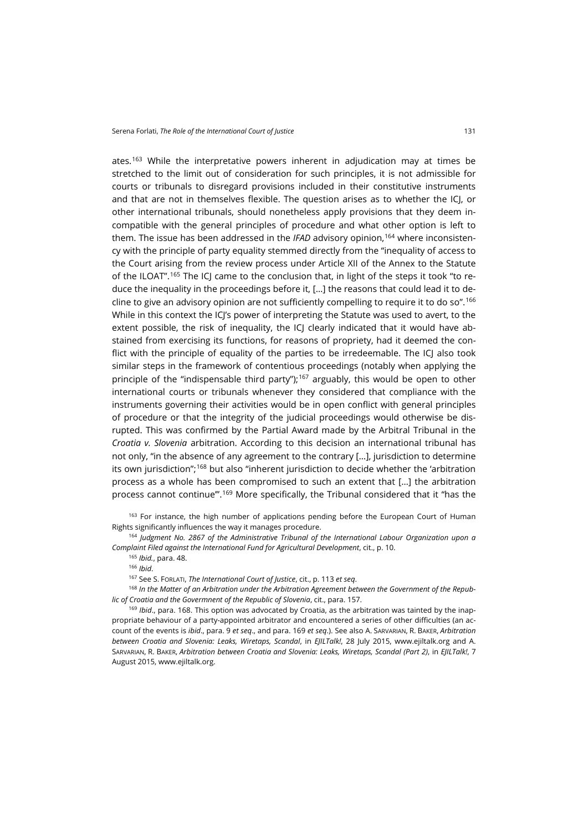ates.[163](#page-28-0) While the interpretative powers inherent in adjudication may at times be stretched to the limit out of consideration for such principles, it is not admissible for courts or tribunals to disregard provisions included in their constitutive instruments and that are not in themselves flexible. The question arises as to whether the ICJ, or other international tribunals, should nonetheless apply provisions that they deem incompatible with the general principles of procedure and what other option is left to them. The issue has been addressed in the *IFAD* advisory opinion,[164](#page-28-1) where inconsistency with the principle of party equality stemmed directly from the "inequality of access to the Court arising from the review process under Article XII of the Annex to the Statute of the ILOAT".<sup>[165](#page-28-2)</sup> The ICJ came to the conclusion that, in light of the steps it took "to reduce the inequality in the proceedings before it, […] the reasons that could lead it to de-cline to give an advisory opinion are not sufficiently compelling to require it to do so".<sup>[166](#page-28-3)</sup> While in this context the ICJ's power of interpreting the Statute was used to avert, to the extent possible, the risk of inequality, the ICJ clearly indicated that it would have abstained from exercising its functions, for reasons of propriety, had it deemed the conflict with the principle of equality of the parties to be irredeemable. The ICJ also took similar steps in the framework of contentious proceedings (notably when applying the principle of the "indispensable third party");<sup>[167](#page-28-4)</sup> arguably, this would be open to other international courts or tribunals whenever they considered that compliance with the instruments governing their activities would be in open conflict with general principles of procedure or that the integrity of the judicial proceedings would otherwise be disrupted. This was confirmed by the Partial Award made by the Arbitral Tribunal in the *Croatia v. Slovenia* arbitration. According to this decision an international tribunal has not only, "in the absence of any agreement to the contrary […], jurisdiction to determine its own jurisdiction";[168](#page-28-5) but also "inherent jurisdiction to decide whether the 'arbitration

process as a whole has been compromised to such an extent that […] the arbitration process cannot continue'".[169](#page-28-6) More specifically, the Tribunal considered that it "has the

<span id="page-28-0"></span><sup>163</sup> For instance, the high number of applications pending before the European Court of Human Rights significantly influences the way it manages procedure.

<span id="page-28-2"></span><span id="page-28-1"></span><sup>164</sup> *Judgment No. 2867 of the Administrative Tribunal of the International Labour Organization upon a Complaint Filed against the International Fund for Agricultural Development*, cit., p. 10.

<sup>165</sup> *Ibid.*, para. 48.

<sup>166</sup> *Ibid*.

<sup>167</sup> See S. FORLATI, *The International Court of Justice*, cit., p. 113 *et seq*.

<span id="page-28-5"></span><span id="page-28-4"></span><span id="page-28-3"></span><sup>168</sup> *In the Matter of an Arbitration under the Arbitration Agreement between the Government of the Republic of Croatia and the Govermnent of the Republic of Slovenia*, cit., para. 157.

<span id="page-28-6"></span><sup>169</sup> *Ibid.*, para. 168. This option was advocated by Croatia, as the arbitration was tainted by the inappropriate behaviour of a party-appointed arbitrator and encountered a series of other difficulties (an account of the events is *ibid*., para. 9 *et seq*., and para. 169 *et seq*.). See also A. SARVARIAN, R. BAKER, *Arbitration between Croatia and Slovenia: Leaks, Wiretaps, Scandal*, in *EJILTalk!*, 28 July 2015, [www.ejiltalk.org](https://www.ejiltalk.org/arbitration-between-croatia-and-slovenia-leaks-wiretaps-scandal/) and A. SARVARIAN, R. BAKER, *Arbitration between Croatia and Slovenia: Leaks, Wiretaps, Scandal (Part 2)*, in *EJILTalk!*, 7 August 2015, [www.ejiltalk.org.](http://www.ejiltalk.org/arbitration-between-croatia-and-slovenia-leaks-wiretaps-scandal-part-2/)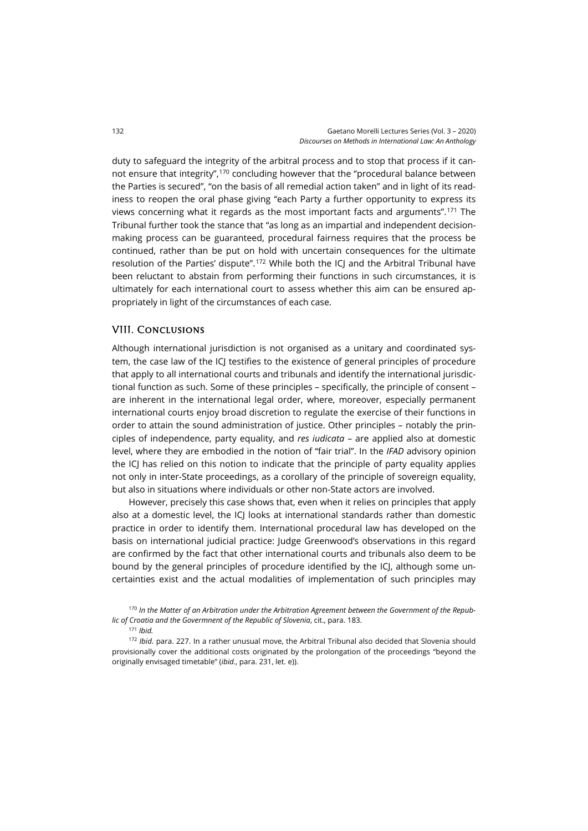duty to safeguard the integrity of the arbitral process and to stop that process if it cannot ensure that integrity",[170](#page-29-0) concluding however that the "procedural balance between the Parties is secured", "on the basis of all remedial action taken" and in light of its readiness to reopen the oral phase giving "each Party a further opportunity to express its views concerning what it regards as the most important facts and arguments".[171](#page-29-1) The Tribunal further took the stance that "as long as an impartial and independent decisionmaking process can be guaranteed, procedural fairness requires that the process be continued, rather than be put on hold with uncertain consequences for the ultimate resolution of the Parties' dispute".<sup>[172](#page-29-2)</sup> While both the ICJ and the Arbitral Tribunal have been reluctant to abstain from performing their functions in such circumstances, it is ultimately for each international court to assess whether this aim can be ensured appropriately in light of the circumstances of each case.

# VIII. Conclusions

Although international jurisdiction is not organised as a unitary and coordinated system, the case law of the ICJ testifies to the existence of general principles of procedure that apply to all international courts and tribunals and identify the international jurisdictional function as such. Some of these principles – specifically, the principle of consent – are inherent in the international legal order, where, moreover, especially permanent international courts enjoy broad discretion to regulate the exercise of their functions in order to attain the sound administration of justice. Other principles – notably the principles of independence, party equality, and *res iudicata* – are applied also at domestic level, where they are embodied in the notion of "fair trial". In the *IFAD* advisory opinion the ICJ has relied on this notion to indicate that the principle of party equality applies not only in inter-State proceedings, as a corollary of the principle of sovereign equality, but also in situations where individuals or other non-State actors are involved.

However, precisely this case shows that, even when it relies on principles that apply also at a domestic level, the ICJ looks at international standards rather than domestic practice in order to identify them. International procedural law has developed on the basis on international judicial practice: Judge Greenwood's observations in this regard are confirmed by the fact that other international courts and tribunals also deem to be bound by the general principles of procedure identified by the ICJ, although some uncertainties exist and the actual modalities of implementation of such principles may

<sup>171</sup> *Ibid.*

<span id="page-29-0"></span><sup>170</sup> *In the Matter of an Arbitration under the Arbitration Agreement between the Government of the Republic of Croatia and the Govermnent of the Republic of Slovenia*, cit., para. 183.

<span id="page-29-2"></span><span id="page-29-1"></span><sup>172</sup> *Ibid*. para. 227. In a rather unusual move, the Arbitral Tribunal also decided that Slovenia should provisionally cover the additional costs originated by the prolongation of the proceedings "beyond the originally envisaged timetable" (*ibid.*, para. 231, let. e)).